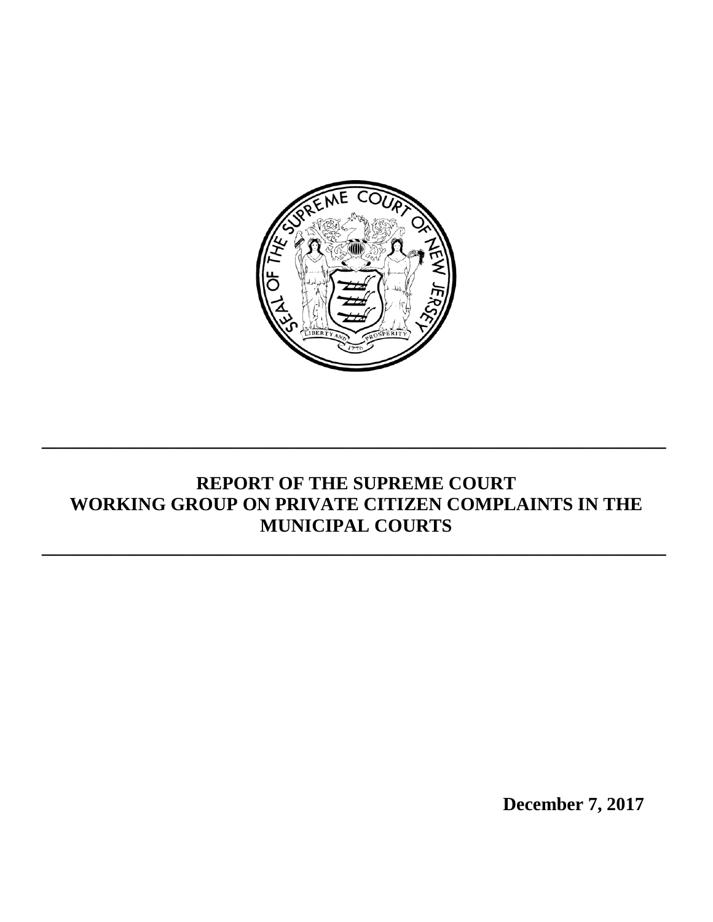

# **REPORT OF THE SUPREME COURT WORKING GROUP ON PRIVATE CITIZEN COMPLAINTS IN THE MUNICIPAL COURTS**

**\_\_\_\_\_\_\_\_\_\_\_\_\_\_\_\_\_\_\_\_\_\_\_\_\_\_\_\_\_\_\_\_\_\_\_\_\_\_\_\_\_\_\_\_\_\_\_\_\_\_\_\_\_\_\_\_\_\_\_\_\_\_\_\_\_\_\_**

**\_\_\_\_\_\_\_\_\_\_\_\_\_\_\_\_\_\_\_\_\_\_\_\_\_\_\_\_\_\_\_\_\_\_\_\_\_\_\_\_\_\_\_\_\_\_\_\_\_\_\_\_\_\_\_\_\_\_\_\_\_\_\_\_\_\_\_**

**December 7, 2017**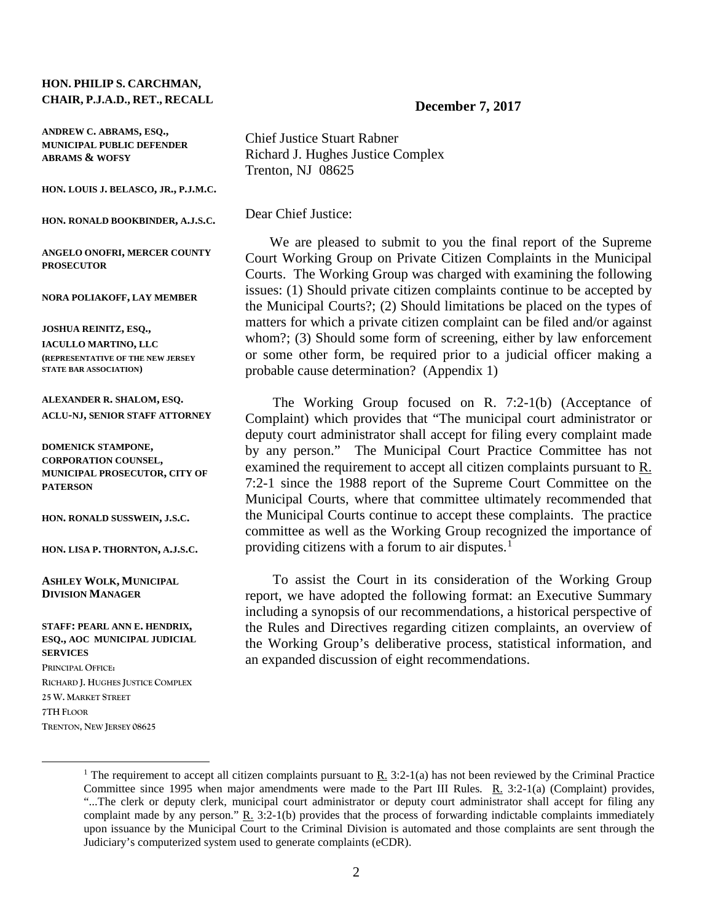#### **HON. PHILIP S. CARCHMAN, CHAIR, P.J.A.D., RET., RECALL**

**ANDREW C. ABRAMS, ESQ., MUNICIPAL PUBLIC DEFENDER ABRAMS & WOFSY**

**HON. LOUIS J. BELASCO, JR., P.J.M.C.** 

**HON. RONALD BOOKBINDER, A.J.S.C.** 

**ANGELO ONOFRI, MERCER COUNTY PROSECUTOR** 

**NORA POLIAKOFF, LAY MEMBER**

**JOSHUA REINITZ, ESQ., IACULLO MARTINO, LLC (REPRESENTATIVE OF THE NEW JERSEY STATE BAR ASSOCIATION)** 

**ALEXANDER R. SHALOM, ESQ. ACLU-NJ, SENIOR STAFF ATTORNEY**

**DOMENICK STAMPONE, CORPORATION COUNSEL, MUNICIPAL PROSECUTOR, CITY OF PATERSON** 

**HON. RONALD SUSSWEIN, J.S.C.** 

**HON. LISA P. THORNTON, A.J.S.C.**

**ASHLEY WOLK, MUNICIPAL DIVISION MANAGER** 

**STAFF: PEARL ANN E. HENDRIX, ESQ., AOC MUNICIPAL JUDICIAL SERVICES**

**PRINCIPAL OFFICE: RICHARD J. HUGHES JUSTICE COMPLEX 25 W. MARKET STREET 7TH FLOOR TRENTON, NEW JERSEY 08625**

#### **December 7, 2017**

Chief Justice Stuart Rabner Richard J. Hughes Justice Complex Trenton, NJ 08625

Dear Chief Justice:

 We are pleased to submit to you the final report of the Supreme Court Working Group on Private Citizen Complaints in the Municipal Courts. The Working Group was charged with examining the following issues: (1) Should private citizen complaints continue to be accepted by the Municipal Courts?; (2) Should limitations be placed on the types of matters for which a private citizen complaint can be filed and/or against whom?; (3) Should some form of screening, either by law enforcement or some other form, be required prior to a judicial officer making a probable cause determination? (Appendix 1)

The Working Group focused on R. 7:2-1(b) (Acceptance of Complaint) which provides that "The municipal court administrator or deputy court administrator shall accept for filing every complaint made by any person." The Municipal Court Practice Committee has not examined the requirement to accept all citizen complaints pursuant to R. 7:2-1 since the 1988 report of the Supreme Court Committee on the Municipal Courts, where that committee ultimately recommended that the Municipal Courts continue to accept these complaints. The practice committee as well as the Working Group recognized the importance of providing citizens with a forum to air disputes. $<sup>1</sup>$  $<sup>1</sup>$  $<sup>1</sup>$ </sup>

To assist the Court in its consideration of the Working Group report, we have adopted the following format: an Executive Summary including a synopsis of our recommendations, a historical perspective of the Rules and Directives regarding citizen complaints, an overview of the Working Group's deliberative process, statistical information, and an expanded discussion of eight recommendations.

<span id="page-1-0"></span><sup>&</sup>lt;sup>1</sup> The requirement to accept all citizen complaints pursuant to  $\underline{R}$ . 3:2-1(a) has not been reviewed by the Criminal Practice Committee since 1995 when major amendments were made to the Part III Rules. R. 3:2-1(a) (Complaint) provides, "...The clerk or deputy clerk, municipal court administrator or deputy court administrator shall accept for filing any complaint made by any person."  $R_1$  3:2-1(b) provides that the process of forwarding indictable complaints immediately upon issuance by the Municipal Court to the Criminal Division is automated and those complaints are sent through the Judiciary's computerized system used to generate complaints (eCDR).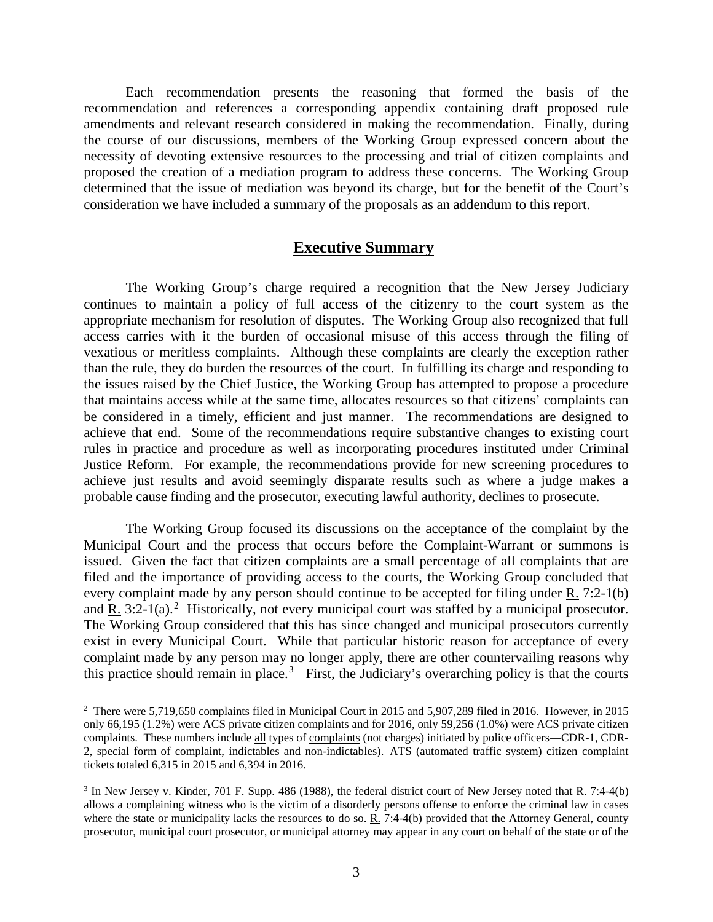Each recommendation presents the reasoning that formed the basis of the recommendation and references a corresponding appendix containing draft proposed rule amendments and relevant research considered in making the recommendation. Finally, during the course of our discussions, members of the Working Group expressed concern about the necessity of devoting extensive resources to the processing and trial of citizen complaints and proposed the creation of a mediation program to address these concerns. The Working Group determined that the issue of mediation was beyond its charge, but for the benefit of the Court's consideration we have included a summary of the proposals as an addendum to this report.

## **Executive Summary**

The Working Group's charge required a recognition that the New Jersey Judiciary continues to maintain a policy of full access of the citizenry to the court system as the appropriate mechanism for resolution of disputes. The Working Group also recognized that full access carries with it the burden of occasional misuse of this access through the filing of vexatious or meritless complaints. Although these complaints are clearly the exception rather than the rule, they do burden the resources of the court. In fulfilling its charge and responding to the issues raised by the Chief Justice, the Working Group has attempted to propose a procedure that maintains access while at the same time, allocates resources so that citizens' complaints can be considered in a timely, efficient and just manner. The recommendations are designed to achieve that end. Some of the recommendations require substantive changes to existing court rules in practice and procedure as well as incorporating procedures instituted under Criminal Justice Reform. For example, the recommendations provide for new screening procedures to achieve just results and avoid seemingly disparate results such as where a judge makes a probable cause finding and the prosecutor, executing lawful authority, declines to prosecute.

The Working Group focused its discussions on the acceptance of the complaint by the Municipal Court and the process that occurs before the Complaint-Warrant or summons is issued. Given the fact that citizen complaints are a small percentage of all complaints that are filed and the importance of providing access to the courts, the Working Group concluded that every complaint made by any person should continue to be accepted for filing under R. 7:2-1(b) and  $\underline{R}$ . 3:[2](#page-2-0)-1(a).<sup>2</sup> Historically, not every municipal court was staffed by a municipal prosecutor. The Working Group considered that this has since changed and municipal prosecutors currently exist in every Municipal Court. While that particular historic reason for acceptance of every complaint made by any person may no longer apply, there are other countervailing reasons why this practice should remain in place.<sup>[3](#page-2-1)</sup> First, the Judiciary's overarching policy is that the courts

<span id="page-2-0"></span><sup>&</sup>lt;sup>2</sup> There were 5,719,650 complaints filed in Municipal Court in 2015 and 5,907,289 filed in 2016. However, in 2015 only 66,195 (1.2%) were ACS private citizen complaints and for 2016, only 59,256 (1.0%) were ACS private citizen complaints. These numbers include all types of complaints (not charges) initiated by police officers—CDR-1, CDR-2, special form of complaint, indictables and non-indictables). ATS (automated traffic system) citizen complaint tickets totaled 6,315 in 2015 and 6,394 in 2016.

<span id="page-2-1"></span><sup>3</sup> In New Jersey v. Kinder, 701 F. Supp. 486 (1988), the federal district court of New Jersey noted that R. 7:4-4(b) allows a complaining witness who is the victim of a disorderly persons offense to enforce the criminal law in cases where the state or municipality lacks the resources to do so.  $\underline{R}$ . 7:4-4(b) provided that the Attorney General, county prosecutor, municipal court prosecutor, or municipal attorney may appear in any court on behalf of the state or of the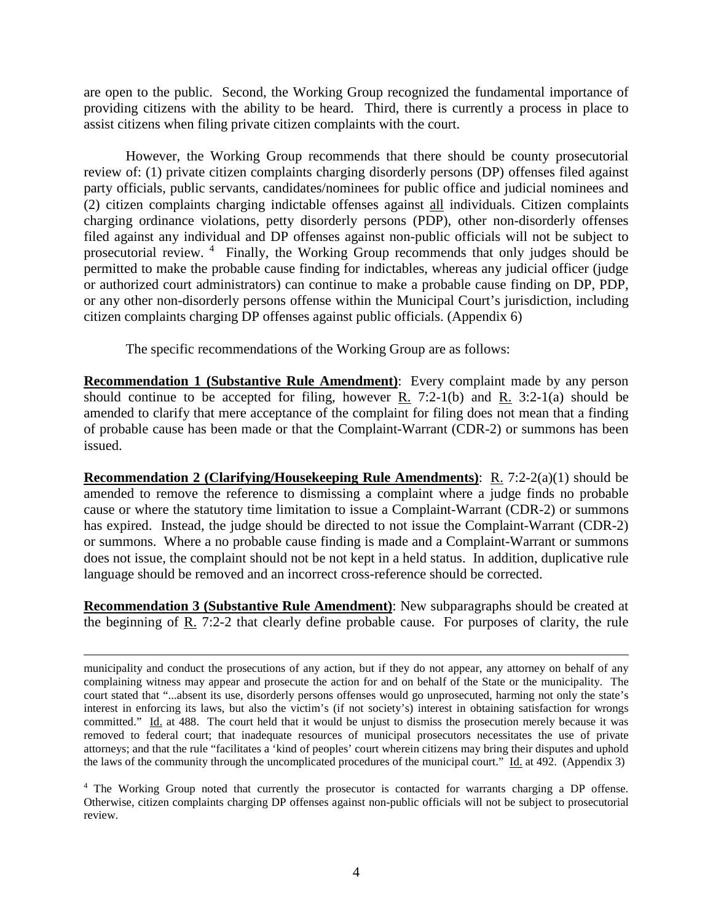are open to the public. Second, the Working Group recognized the fundamental importance of providing citizens with the ability to be heard. Third, there is currently a process in place to assist citizens when filing private citizen complaints with the court.

However, the Working Group recommends that there should be county prosecutorial review of: (1) private citizen complaints charging disorderly persons (DP) offenses filed against party officials, public servants, candidates/nominees for public office and judicial nominees and (2) citizen complaints charging indictable offenses against all individuals. Citizen complaints charging ordinance violations, petty disorderly persons (PDP), other non-disorderly offenses filed against any individual and DP offenses against non-public officials will not be subject to prosecutorial review. <sup>[4](#page-3-0)</sup> Finally, the Working Group recommends that only judges should be permitted to make the probable cause finding for indictables, whereas any judicial officer (judge or authorized court administrators) can continue to make a probable cause finding on DP, PDP, or any other non-disorderly persons offense within the Municipal Court's jurisdiction, including citizen complaints charging DP offenses against public officials. (Appendix 6)

The specific recommendations of the Working Group are as follows:

**Recommendation 1 (Substantive Rule Amendment)**: Every complaint made by any person should continue to be accepted for filing, however R. 7:2-1(b) and R. 3:2-1(a) should be amended to clarify that mere acceptance of the complaint for filing does not mean that a finding of probable cause has been made or that the Complaint-Warrant (CDR-2) or summons has been issued.

**Recommendation 2 (Clarifying/Housekeeping Rule Amendments)**: R. 7:2-2(a)(1) should be amended to remove the reference to dismissing a complaint where a judge finds no probable cause or where the statutory time limitation to issue a Complaint-Warrant (CDR-2) or summons has expired. Instead, the judge should be directed to not issue the Complaint-Warrant (CDR-2) or summons. Where a no probable cause finding is made and a Complaint-Warrant or summons does not issue, the complaint should not be not kept in a held status. In addition, duplicative rule language should be removed and an incorrect cross-reference should be corrected.

**Recommendation 3 (Substantive Rule Amendment)**: New subparagraphs should be created at the beginning of R. 7:2-2 that clearly define probable cause. For purposes of clarity, the rule

 $\overline{a}$ 

<span id="page-3-0"></span><sup>4</sup> The Working Group noted that currently the prosecutor is contacted for warrants charging a DP offense. Otherwise, citizen complaints charging DP offenses against non-public officials will not be subject to prosecutorial review.

municipality and conduct the prosecutions of any action, but if they do not appear, any attorney on behalf of any complaining witness may appear and prosecute the action for and on behalf of the State or the municipality. The court stated that "...absent its use, disorderly persons offenses would go unprosecuted, harming not only the state's interest in enforcing its laws, but also the victim's (if not society's) interest in obtaining satisfaction for wrongs committed." Id. at 488. The court held that it would be unjust to dismiss the prosecution merely because it was removed to federal court; that inadequate resources of municipal prosecutors necessitates the use of private attorneys; and that the rule "facilitates a 'kind of peoples' court wherein citizens may bring their disputes and uphold the laws of the community through the uncomplicated procedures of the municipal court." Id. at 492. (Appendix 3)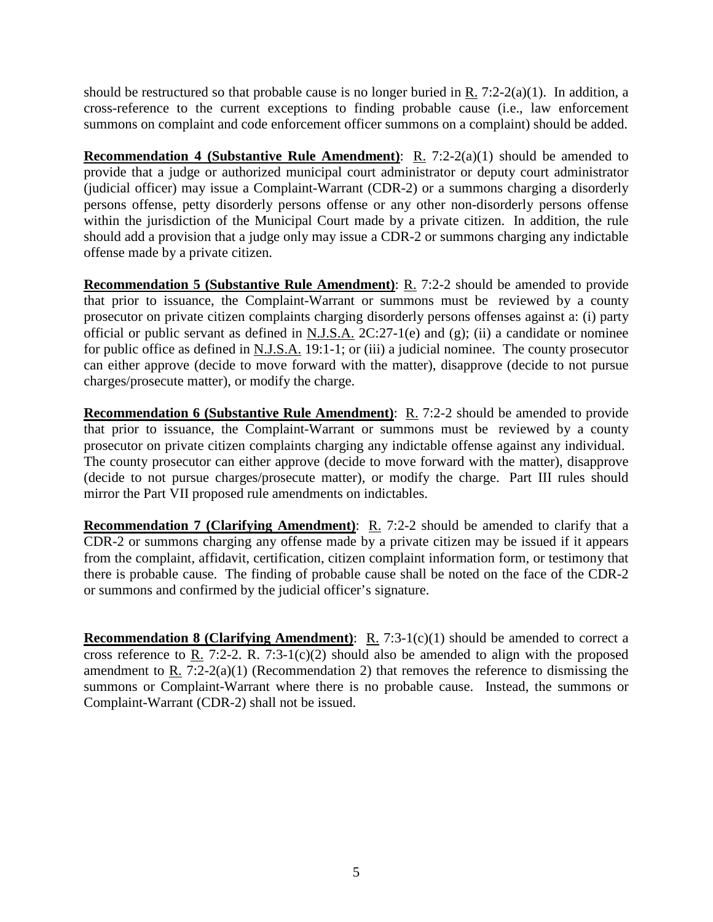should be restructured so that probable cause is no longer buried in R.  $7:2-2(a)(1)$ . In addition, a cross-reference to the current exceptions to finding probable cause (i.e., law enforcement summons on complaint and code enforcement officer summons on a complaint) should be added.

**Recommendation 4 (Substantive Rule Amendment)**: R. 7:2-2(a)(1) should be amended to provide that a judge or authorized municipal court administrator or deputy court administrator (judicial officer) may issue a Complaint-Warrant (CDR-2) or a summons charging a disorderly persons offense, petty disorderly persons offense or any other non-disorderly persons offense within the jurisdiction of the Municipal Court made by a private citizen. In addition, the rule should add a provision that a judge only may issue a CDR-2 or summons charging any indictable offense made by a private citizen.

**Recommendation 5 (Substantive Rule Amendment)**: R. 7:2-2 should be amended to provide that prior to issuance, the Complaint-Warrant or summons must be reviewed by a county prosecutor on private citizen complaints charging disorderly persons offenses against a: (i) party official or public servant as defined in N.J.S.A. 2C:27-1(e) and (g); (ii) a candidate or nominee for public office as defined in N.J.S.A. 19:1-1; or (iii) a judicial nominee. The county prosecutor can either approve (decide to move forward with the matter), disapprove (decide to not pursue charges/prosecute matter), or modify the charge.

**Recommendation 6 (Substantive Rule Amendment)**: R. 7:2-2 should be amended to provide that prior to issuance, the Complaint-Warrant or summons must be reviewed by a county prosecutor on private citizen complaints charging any indictable offense against any individual. The county prosecutor can either approve (decide to move forward with the matter), disapprove (decide to not pursue charges/prosecute matter), or modify the charge. Part III rules should mirror the Part VII proposed rule amendments on indictables.

**Recommendation 7 (Clarifying Amendment)**: R. 7:2-2 should be amended to clarify that a CDR-2 or summons charging any offense made by a private citizen may be issued if it appears from the complaint, affidavit, certification, citizen complaint information form, or testimony that there is probable cause. The finding of probable cause shall be noted on the face of the CDR-2 or summons and confirmed by the judicial officer's signature.

**Recommendation 8 (Clarifying Amendment):** R. 7:3-1(c)(1) should be amended to correct a cross reference to R. 7:2-2. R. 7:3-1(c)(2) should also be amended to align with the proposed amendment to R.  $7.2-2(a)(1)$  (Recommendation 2) that removes the reference to dismissing the summons or Complaint-Warrant where there is no probable cause. Instead, the summons or Complaint-Warrant (CDR-2) shall not be issued.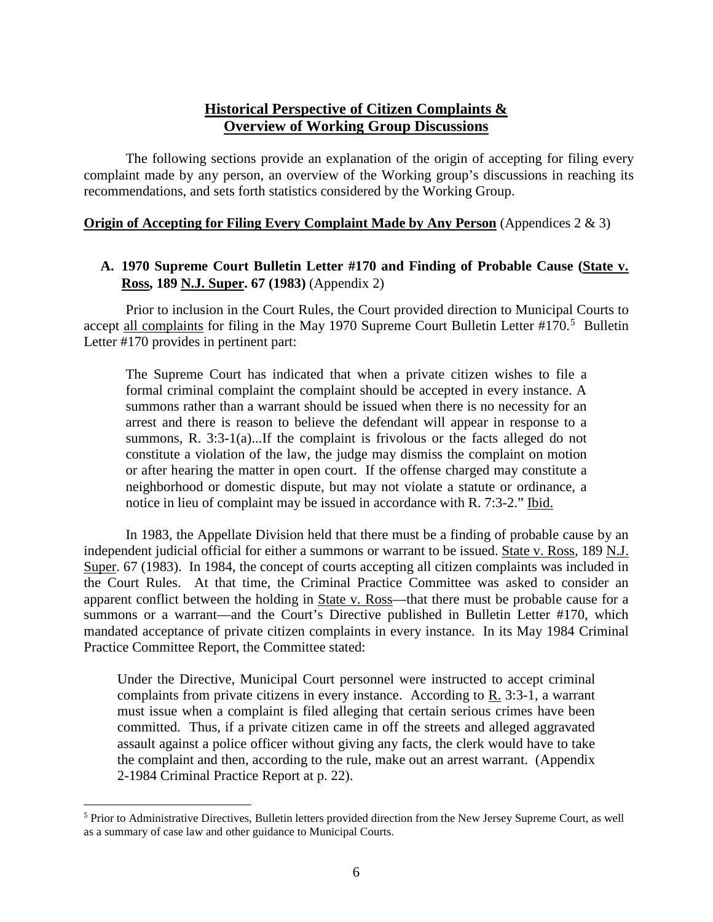## **Historical Perspective of Citizen Complaints & Overview of Working Group Discussions**

The following sections provide an explanation of the origin of accepting for filing every complaint made by any person, an overview of the Working group's discussions in reaching its recommendations, and sets forth statistics considered by the Working Group.

#### **Origin of Accepting for Filing Every Complaint Made by Any Person** (Appendices 2 & 3)

## **A. 1970 Supreme Court Bulletin Letter #170 and Finding of Probable Cause (State v. Ross, 189 N.J. Super. 67 (1983)** (Appendix 2)

Prior to inclusion in the Court Rules, the Court provided direction to Municipal Courts to accept all complaints for filing in the May 1970 Supreme Court Bulletin Letter #170.<sup>[5](#page-5-0)</sup> Bulletin Letter #170 provides in pertinent part:

The Supreme Court has indicated that when a private citizen wishes to file a formal criminal complaint the complaint should be accepted in every instance. A summons rather than a warrant should be issued when there is no necessity for an arrest and there is reason to believe the defendant will appear in response to a summons, R. 3:3-1(a)...If the complaint is frivolous or the facts alleged do not constitute a violation of the law, the judge may dismiss the complaint on motion or after hearing the matter in open court. If the offense charged may constitute a neighborhood or domestic dispute, but may not violate a statute or ordinance, a notice in lieu of complaint may be issued in accordance with R. 7:3-2." Ibid.

In 1983, the Appellate Division held that there must be a finding of probable cause by an independent judicial official for either a summons or warrant to be issued. State v. Ross, 189 N.J. Super. 67 (1983). In 1984, the concept of courts accepting all citizen complaints was included in the Court Rules. At that time, the Criminal Practice Committee was asked to consider an apparent conflict between the holding in State v. Ross—that there must be probable cause for a summons or a warrant—and the Court's Directive published in Bulletin Letter #170, which mandated acceptance of private citizen complaints in every instance. In its May 1984 Criminal Practice Committee Report, the Committee stated:

Under the Directive, Municipal Court personnel were instructed to accept criminal complaints from private citizens in every instance. According to R. 3:3-1, a warrant must issue when a complaint is filed alleging that certain serious crimes have been committed. Thus, if a private citizen came in off the streets and alleged aggravated assault against a police officer without giving any facts, the clerk would have to take the complaint and then, according to the rule, make out an arrest warrant. (Appendix 2-1984 Criminal Practice Report at p. 22).

<span id="page-5-0"></span> $\overline{a}$ <sup>5</sup> Prior to Administrative Directives, Bulletin letters provided direction from the New Jersey Supreme Court, as well as a summary of case law and other guidance to Municipal Courts.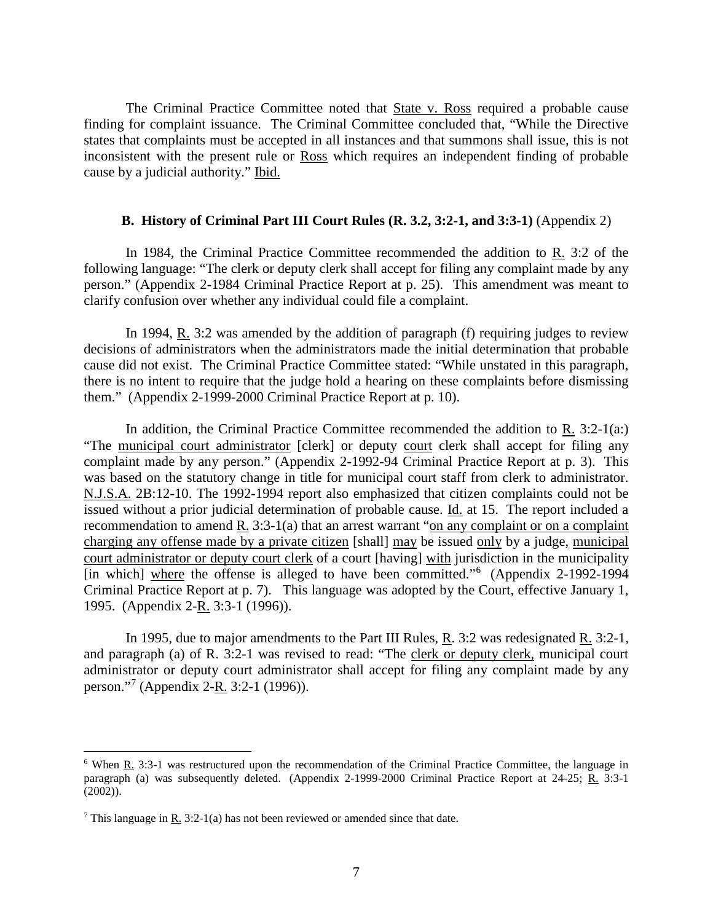The Criminal Practice Committee noted that **State v. Ross required a probable cause** finding for complaint issuance. The Criminal Committee concluded that, "While the Directive states that complaints must be accepted in all instances and that summons shall issue, this is not inconsistent with the present rule or Ross which requires an independent finding of probable cause by a judicial authority." Ibid.

#### **B. History of Criminal Part III Court Rules (R. 3.2, 3:2-1, and 3:3-1)** (Appendix 2)

In 1984, the Criminal Practice Committee recommended the addition to R. 3:2 of the following language: "The clerk or deputy clerk shall accept for filing any complaint made by any person." (Appendix 2-1984 Criminal Practice Report at p. 25). This amendment was meant to clarify confusion over whether any individual could file a complaint.

In 1994, R. 3:2 was amended by the addition of paragraph (f) requiring judges to review decisions of administrators when the administrators made the initial determination that probable cause did not exist. The Criminal Practice Committee stated: "While unstated in this paragraph, there is no intent to require that the judge hold a hearing on these complaints before dismissing them." (Appendix 2-1999-2000 Criminal Practice Report at p. 10).

In addition, the Criminal Practice Committee recommended the addition to R.  $3:2-1(a)$ : "The municipal court administrator [clerk] or deputy court clerk shall accept for filing any complaint made by any person." (Appendix 2-1992-94 Criminal Practice Report at p. 3). This was based on the statutory change in title for municipal court staff from clerk to administrator. N.J.S.A. 2B:12-10. The 1992-1994 report also emphasized that citizen complaints could not be issued without a prior judicial determination of probable cause. Id. at 15. The report included a recommendation to amend R. 3:3-1(a) that an arrest warrant "on any complaint or on a complaint charging any offense made by a private citizen [shall] may be issued only by a judge, municipal court administrator or deputy court clerk of a court [having] with jurisdiction in the municipality [in which] where the offense is alleged to have been committed."<sup>[6](#page-6-0)</sup> (Appendix 2-1992-1994 Criminal Practice Report at p. 7). This language was adopted by the Court, effective January 1, 1995. (Appendix 2-R. 3:3-1 (1996)).

In 1995, due to major amendments to the Part III Rules, R. 3:2 was redesignated R. 3:2-1, and paragraph (a) of R. 3:2-1 was revised to read: "The clerk or deputy clerk, municipal court administrator or deputy court administrator shall accept for filing any complaint made by any person."<sup>[7](#page-6-1)</sup> (Appendix 2-<u>R.</u> 3:2-1 (1996)).

<span id="page-6-0"></span><sup>6</sup> When R. 3:3-1 was restructured upon the recommendation of the Criminal Practice Committee, the language in paragraph (a) was subsequently deleted. (Appendix 2-1999-2000 Criminal Practice Report at 24-25; R. 3:3-1 (2002)).

<span id="page-6-1"></span><sup>&</sup>lt;sup>7</sup> This language in R. 3:2-1(a) has not been reviewed or amended since that date.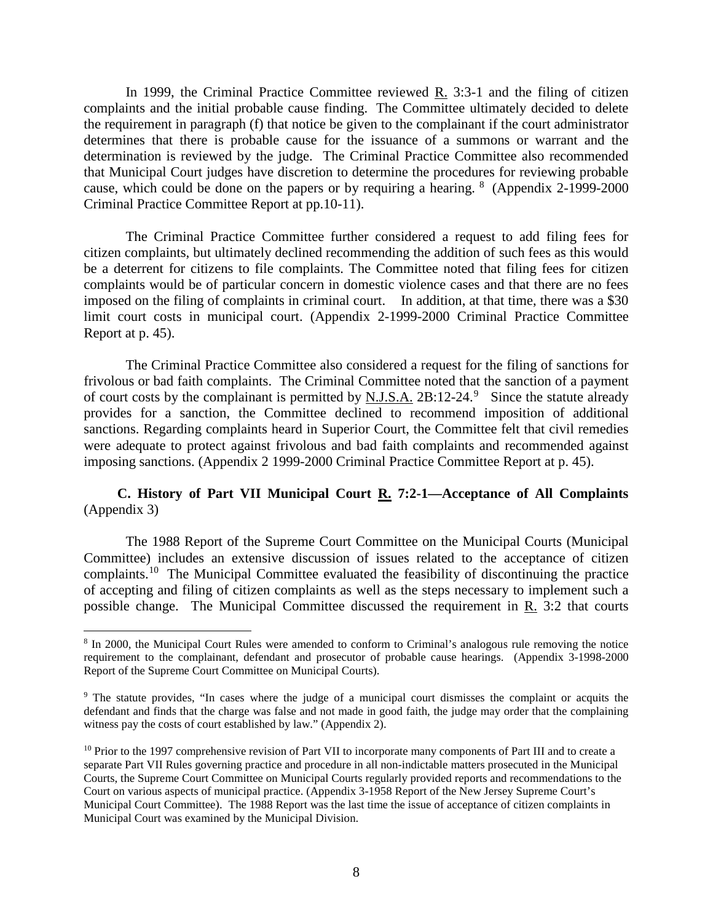In 1999, the Criminal Practice Committee reviewed R. 3:3-1 and the filing of citizen complaints and the initial probable cause finding. The Committee ultimately decided to delete the requirement in paragraph (f) that notice be given to the complainant if the court administrator determines that there is probable cause for the issuance of a summons or warrant and the determination is reviewed by the judge. The Criminal Practice Committee also recommended that Municipal Court judges have discretion to determine the procedures for reviewing probable cause, which could be done on the papers or by requiring a hearing.  $8\$  $8\$  (Appendix 2-1999-2000) Criminal Practice Committee Report at pp.10-11).

The Criminal Practice Committee further considered a request to add filing fees for citizen complaints, but ultimately declined recommending the addition of such fees as this would be a deterrent for citizens to file complaints. The Committee noted that filing fees for citizen complaints would be of particular concern in domestic violence cases and that there are no fees imposed on the filing of complaints in criminal court. In addition, at that time, there was a \$30 limit court costs in municipal court. (Appendix 2-1999-2000 Criminal Practice Committee Report at p. 45).

The Criminal Practice Committee also considered a request for the filing of sanctions for frivolous or bad faith complaints. The Criminal Committee noted that the sanction of a payment of court costs by the complainant is permitted by  $N.J.S.A.$  2B:12-24.<sup>[9](#page-7-1)</sup> Since the statute already provides for a sanction, the Committee declined to recommend imposition of additional sanctions. Regarding complaints heard in Superior Court, the Committee felt that civil remedies were adequate to protect against frivolous and bad faith complaints and recommended against imposing sanctions. (Appendix 2 1999-2000 Criminal Practice Committee Report at p. 45).

### **C. History of Part VII Municipal Court R. 7:2-1—Acceptance of All Complaints**  (Appendix 3)

The 1988 Report of the Supreme Court Committee on the Municipal Courts (Municipal Committee) includes an extensive discussion of issues related to the acceptance of citizen complaints.[10](#page-7-2) The Municipal Committee evaluated the feasibility of discontinuing the practice of accepting and filing of citizen complaints as well as the steps necessary to implement such a possible change. The Municipal Committee discussed the requirement in R. 3:2 that courts

<span id="page-7-0"></span><sup>&</sup>lt;sup>8</sup> In 2000, the Municipal Court Rules were amended to conform to Criminal's analogous rule removing the notice requirement to the complainant, defendant and prosecutor of probable cause hearings. (Appendix 3-1998-2000 Report of the Supreme Court Committee on Municipal Courts).

<span id="page-7-1"></span><sup>&</sup>lt;sup>9</sup> The statute provides, "In cases where the judge of a municipal court dismisses the complaint or acquits the defendant and finds that the charge was false and not made in good faith, the judge may order that the complaining witness pay the costs of court established by law." (Appendix 2).

<span id="page-7-2"></span> $10$  Prior to the 1997 comprehensive revision of Part VII to incorporate many components of Part III and to create a separate Part VII Rules governing practice and procedure in all non-indictable matters prosecuted in the Municipal Courts, the Supreme Court Committee on Municipal Courts regularly provided reports and recommendations to the Court on various aspects of municipal practice. (Appendix 3-1958 Report of the New Jersey Supreme Court's Municipal Court Committee). The 1988 Report was the last time the issue of acceptance of citizen complaints in Municipal Court was examined by the Municipal Division.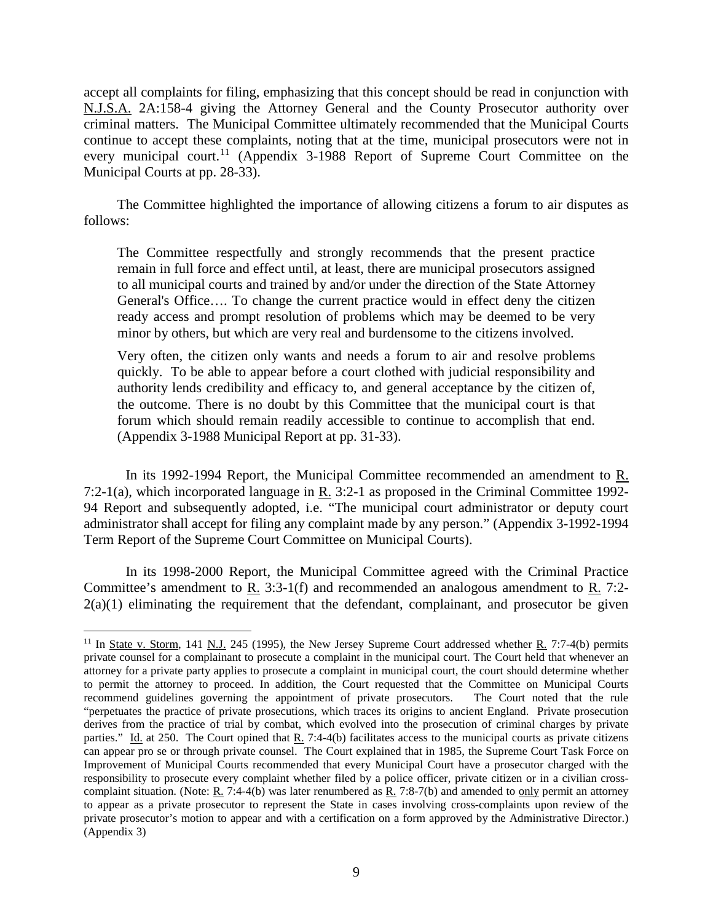accept all complaints for filing, emphasizing that this concept should be read in conjunction with N.J.S.A. 2A:158-4 giving the Attorney General and the County Prosecutor authority over criminal matters. The Municipal Committee ultimately recommended that the Municipal Courts continue to accept these complaints, noting that at the time, municipal prosecutors were not in every municipal court.<sup>[11](#page-8-0)</sup> (Appendix 3-1988 Report of Supreme Court Committee on the Municipal Courts at pp. 28-33).

The Committee highlighted the importance of allowing citizens a forum to air disputes as follows:

The Committee respectfully and strongly recommends that the present practice remain in full force and effect until, at least, there are municipal prosecutors assigned to all municipal courts and trained by and/or under the direction of the State Attorney General's Office…. To change the current practice would in effect deny the citizen ready access and prompt resolution of problems which may be deemed to be very minor by others, but which are very real and burdensome to the citizens involved.

Very often, the citizen only wants and needs a forum to air and resolve problems quickly. To be able to appear before a court clothed with judicial responsibility and authority lends credibility and efficacy to, and general acceptance by the citizen of, the outcome. There is no doubt by this Committee that the municipal court is that forum which should remain readily accessible to continue to accomplish that end. (Appendix 3-1988 Municipal Report at pp. 31-33).

In its 1992-1994 Report, the Municipal Committee recommended an amendment to R. 7:2-1(a), which incorporated language in R. 3:2-1 as proposed in the Criminal Committee 1992- 94 Report and subsequently adopted, i.e. "The municipal court administrator or deputy court administrator shall accept for filing any complaint made by any person." (Appendix 3-1992-1994 Term Report of the Supreme Court Committee on Municipal Courts).

In its 1998-2000 Report, the Municipal Committee agreed with the Criminal Practice Committee's amendment to R. 3:3-1(f) and recommended an analogous amendment to R. 7:2-  $2(a)(1)$  eliminating the requirement that the defendant, complainant, and prosecutor be given

<span id="page-8-0"></span> $\overline{a}$ <sup>11</sup> In State v. Storm, 141 N.J. 245 (1995), the New Jersey Supreme Court addressed whether R. 7:7-4(b) permits private counsel for a complainant to prosecute a complaint in the municipal court. The Court held that whenever an attorney for a private party applies to prosecute a complaint in municipal court, the court should determine whether to permit the attorney to proceed. In addition, the Court requested that the Committee on Municipal Courts recommend guidelines governing the appointment of private prosecutors. The Court noted that the rule "perpetuates the practice of private prosecutions, which traces its origins to ancient England. Private prosecution derives from the practice of trial by combat, which evolved into the prosecution of criminal charges by private parties." Id. at 250. The Court opined that  $R_2$ . 7:4-4(b) facilitates access to the municipal courts as private citizens can appear pro se or through private counsel. The Court explained that in 1985, the Supreme Court Task Force on Improvement of Municipal Courts recommended that every Municipal Court have a prosecutor charged with the responsibility to prosecute every complaint whether filed by a police officer, private citizen or in a civilian crosscomplaint situation. (Note: R. 7:4-4(b) was later renumbered as R. 7:8-7(b) and amended to only permit an attorney to appear as a private prosecutor to represent the State in cases involving cross-complaints upon review of the private prosecutor's motion to appear and with a certification on a form approved by the Administrative Director.) (Appendix 3)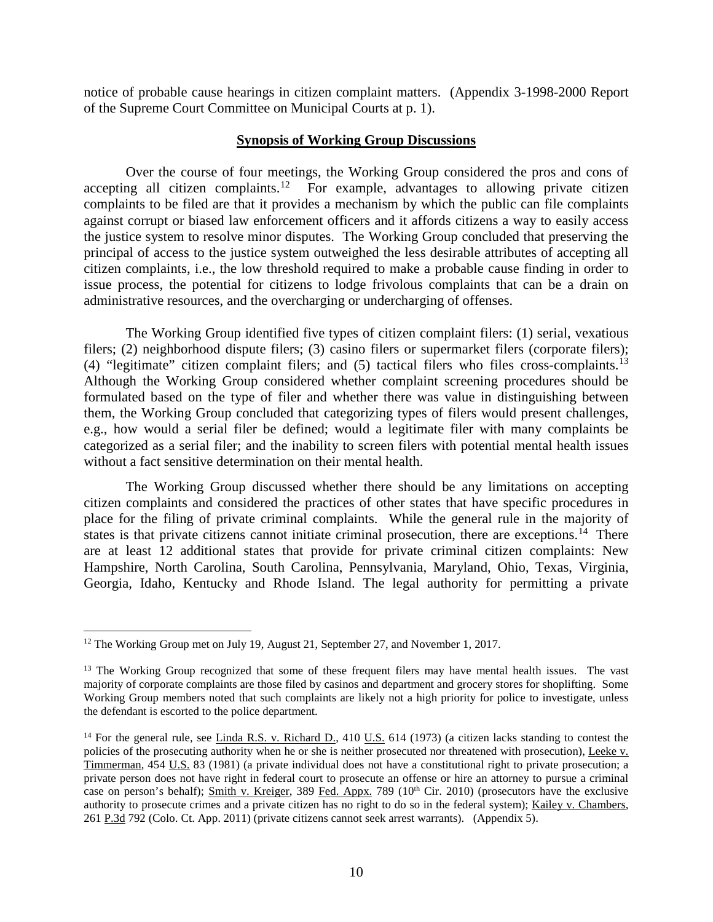notice of probable cause hearings in citizen complaint matters. (Appendix 3-1998-2000 Report of the Supreme Court Committee on Municipal Courts at p. 1).

#### **Synopsis of Working Group Discussions**

Over the course of four meetings, the Working Group considered the pros and cons of accepting all citizen complaints.<sup>[12](#page-9-0)</sup> For example, advantages to allowing private citizen complaints to be filed are that it provides a mechanism by which the public can file complaints against corrupt or biased law enforcement officers and it affords citizens a way to easily access the justice system to resolve minor disputes. The Working Group concluded that preserving the principal of access to the justice system outweighed the less desirable attributes of accepting all citizen complaints, i.e., the low threshold required to make a probable cause finding in order to issue process, the potential for citizens to lodge frivolous complaints that can be a drain on administrative resources, and the overcharging or undercharging of offenses.

The Working Group identified five types of citizen complaint filers: (1) serial, vexatious filers; (2) neighborhood dispute filers; (3) casino filers or supermarket filers (corporate filers); (4) "legitimate" citizen complaint filers; and (5) tactical filers who files cross-complaints.[13](#page-9-1) Although the Working Group considered whether complaint screening procedures should be formulated based on the type of filer and whether there was value in distinguishing between them, the Working Group concluded that categorizing types of filers would present challenges, e.g., how would a serial filer be defined; would a legitimate filer with many complaints be categorized as a serial filer; and the inability to screen filers with potential mental health issues without a fact sensitive determination on their mental health.

The Working Group discussed whether there should be any limitations on accepting citizen complaints and considered the practices of other states that have specific procedures in place for the filing of private criminal complaints. While the general rule in the majority of states is that private citizens cannot initiate criminal prosecution, there are exceptions.<sup> $14$ </sup> There are at least 12 additional states that provide for private criminal citizen complaints: New Hampshire, North Carolina, South Carolina, Pennsylvania, Maryland, Ohio, Texas, Virginia, Georgia, Idaho, Kentucky and Rhode Island. The legal authority for permitting a private

<span id="page-9-0"></span><sup>&</sup>lt;sup>12</sup> The Working Group met on July 19, August 21, September 27, and November 1, 2017.

<span id="page-9-1"></span><sup>&</sup>lt;sup>13</sup> The Working Group recognized that some of these frequent filers may have mental health issues. The vast majority of corporate complaints are those filed by casinos and department and grocery stores for shoplifting. Some Working Group members noted that such complaints are likely not a high priority for police to investigate, unless the defendant is escorted to the police department.

<span id="page-9-2"></span><sup>&</sup>lt;sup>14</sup> For the general rule, see Linda R.S. v. Richard D., 410 U.S.  $614$  (1973) (a citizen lacks standing to contest the policies of the prosecuting authority when he or she is neither prosecuted nor threatened with prosecution), Leeke v. Timmerman, 454 U.S. 83 (1981) (a private individual does not have a constitutional right to private prosecution; a private person does not have right in federal court to prosecute an offense or hire an attorney to pursue a criminal case on person's behalf); Smith v. Kreiger, 389 Fed. Appx. 789 (10<sup>th</sup> Cir. 2010) (prosecutors have the exclusive authority to prosecute crimes and a private citizen has no right to do so in the federal system); Kailey v. Chambers, 261 P.3d 792 (Colo. Ct. App. 2011) (private citizens cannot seek arrest warrants). (Appendix 5).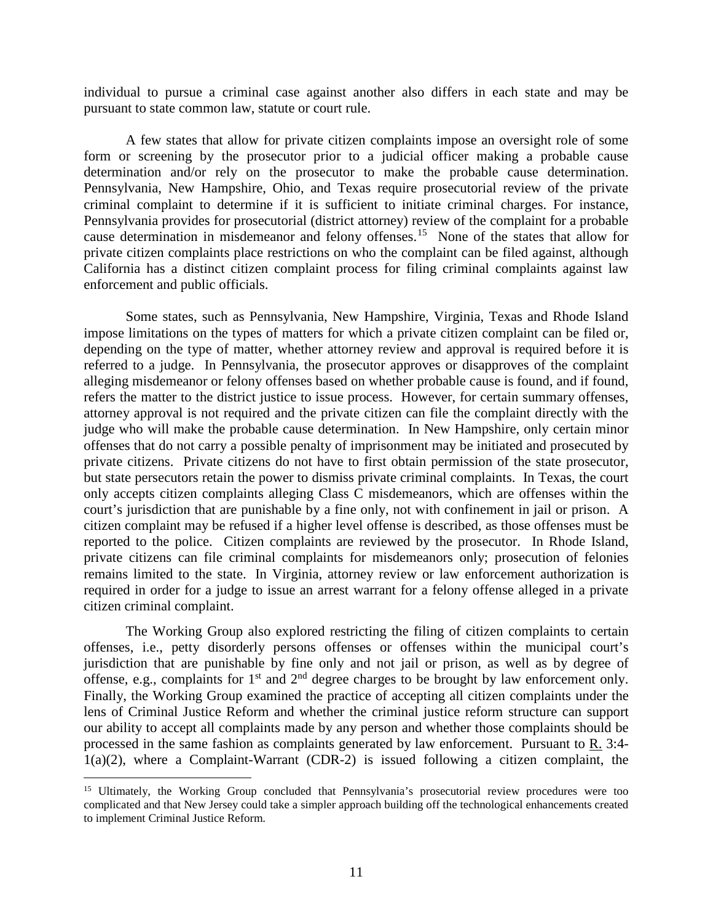individual to pursue a criminal case against another also differs in each state and may be pursuant to state common law, statute or court rule.

A few states that allow for private citizen complaints impose an oversight role of some form or screening by the prosecutor prior to a judicial officer making a probable cause determination and/or rely on the prosecutor to make the probable cause determination. Pennsylvania, New Hampshire, Ohio, and Texas require prosecutorial review of the private criminal complaint to determine if it is sufficient to initiate criminal charges. For instance, Pennsylvania provides for prosecutorial (district attorney) review of the complaint for a probable cause determination in misdemeanor and felony offenses.[15](#page-10-0) None of the states that allow for private citizen complaints place restrictions on who the complaint can be filed against, although California has a distinct citizen complaint process for filing criminal complaints against law enforcement and public officials.

Some states, such as Pennsylvania, New Hampshire, Virginia, Texas and Rhode Island impose limitations on the types of matters for which a private citizen complaint can be filed or, depending on the type of matter, whether attorney review and approval is required before it is referred to a judge. In Pennsylvania, the prosecutor approves or disapproves of the complaint alleging misdemeanor or felony offenses based on whether probable cause is found, and if found, refers the matter to the district justice to issue process. However, for certain summary offenses, attorney approval is not required and the private citizen can file the complaint directly with the judge who will make the probable cause determination. In New Hampshire, only certain minor offenses that do not carry a possible penalty of imprisonment may be initiated and prosecuted by private citizens. Private citizens do not have to first obtain permission of the state prosecutor, but state persecutors retain the power to dismiss private criminal complaints. In Texas, the court only accepts citizen complaints alleging Class C misdemeanors, which are offenses within the court's jurisdiction that are punishable by a fine only, not with confinement in jail or prison. A citizen complaint may be refused if a higher level offense is described, as those offenses must be reported to the police. Citizen complaints are reviewed by the prosecutor. In Rhode Island, private citizens can file criminal complaints for misdemeanors only; prosecution of felonies remains limited to the state. In Virginia, attorney review or law enforcement authorization is required in order for a judge to issue an arrest warrant for a felony offense alleged in a private citizen criminal complaint.

The Working Group also explored restricting the filing of citizen complaints to certain offenses, i.e., petty disorderly persons offenses or offenses within the municipal court's jurisdiction that are punishable by fine only and not jail or prison, as well as by degree of offense, e.g., complaints for  $1<sup>st</sup>$  and  $2<sup>nd</sup>$  degree charges to be brought by law enforcement only. Finally, the Working Group examined the practice of accepting all citizen complaints under the lens of Criminal Justice Reform and whether the criminal justice reform structure can support our ability to accept all complaints made by any person and whether those complaints should be processed in the same fashion as complaints generated by law enforcement. Pursuant to R. 3:4- 1(a)(2), where a Complaint-Warrant (CDR-2) is issued following a citizen complaint, the

<span id="page-10-0"></span><sup>&</sup>lt;sup>15</sup> Ultimately, the Working Group concluded that Pennsylvania's prosecutorial review procedures were too complicated and that New Jersey could take a simpler approach building off the technological enhancements created to implement Criminal Justice Reform.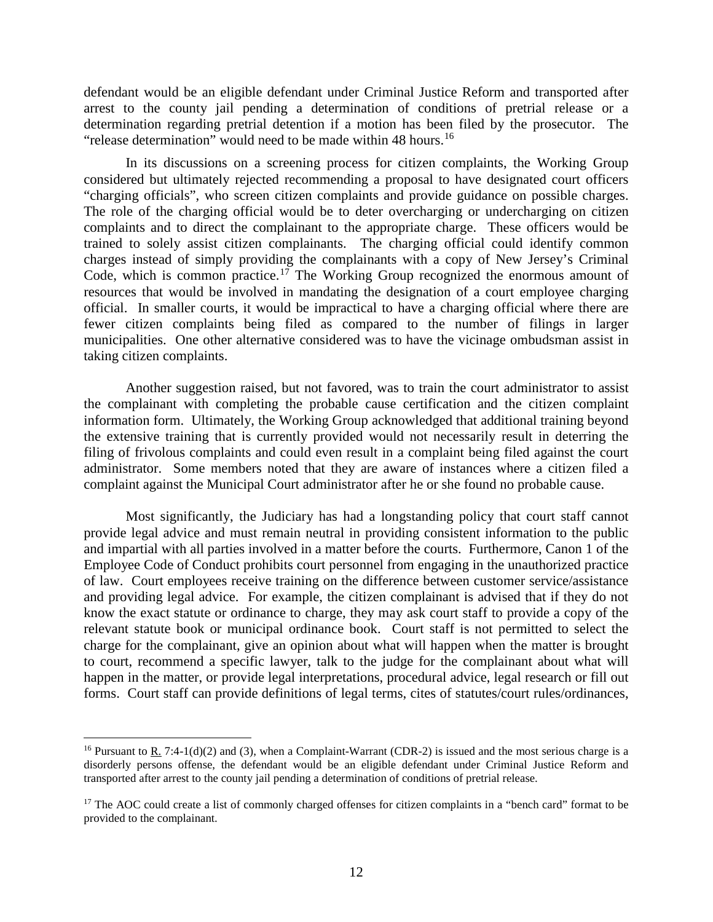defendant would be an eligible defendant under Criminal Justice Reform and transported after arrest to the county jail pending a determination of conditions of pretrial release or a determination regarding pretrial detention if a motion has been filed by the prosecutor. The "release determination" would need to be made within 48 hours.<sup>[16](#page-11-0)</sup>

In its discussions on a screening process for citizen complaints, the Working Group considered but ultimately rejected recommending a proposal to have designated court officers "charging officials", who screen citizen complaints and provide guidance on possible charges. The role of the charging official would be to deter overcharging or undercharging on citizen complaints and to direct the complainant to the appropriate charge. These officers would be trained to solely assist citizen complainants. The charging official could identify common charges instead of simply providing the complainants with a copy of New Jersey's Criminal Code, which is common practice.<sup>[17](#page-11-1)</sup> The Working Group recognized the enormous amount of resources that would be involved in mandating the designation of a court employee charging official. In smaller courts, it would be impractical to have a charging official where there are fewer citizen complaints being filed as compared to the number of filings in larger municipalities. One other alternative considered was to have the vicinage ombudsman assist in taking citizen complaints.

Another suggestion raised, but not favored, was to train the court administrator to assist the complainant with completing the probable cause certification and the citizen complaint information form. Ultimately, the Working Group acknowledged that additional training beyond the extensive training that is currently provided would not necessarily result in deterring the filing of frivolous complaints and could even result in a complaint being filed against the court administrator. Some members noted that they are aware of instances where a citizen filed a complaint against the Municipal Court administrator after he or she found no probable cause.

Most significantly, the Judiciary has had a longstanding policy that court staff cannot provide legal advice and must remain neutral in providing consistent information to the public and impartial with all parties involved in a matter before the courts. Furthermore, Canon 1 of the Employee Code of Conduct prohibits court personnel from engaging in the unauthorized practice of law. Court employees receive training on the difference between customer service/assistance and providing legal advice. For example, the citizen complainant is advised that if they do not know the exact statute or ordinance to charge, they may ask court staff to provide a copy of the relevant statute book or municipal ordinance book. Court staff is not permitted to select the charge for the complainant, give an opinion about what will happen when the matter is brought to court, recommend a specific lawyer, talk to the judge for the complainant about what will happen in the matter, or provide legal interpretations, procedural advice, legal research or fill out forms. Court staff can provide definitions of legal terms, cites of statutes/court rules/ordinances,

<span id="page-11-0"></span><sup>&</sup>lt;sup>16</sup> Pursuant to R. 7:4-1(d)(2) and (3), when a Complaint-Warrant (CDR-2) is issued and the most serious charge is a disorderly persons offense, the defendant would be an eligible defendant under Criminal Justice Reform and transported after arrest to the county jail pending a determination of conditions of pretrial release.

<span id="page-11-1"></span> $17$  The AOC could create a list of commonly charged offenses for citizen complaints in a "bench card" format to be provided to the complainant.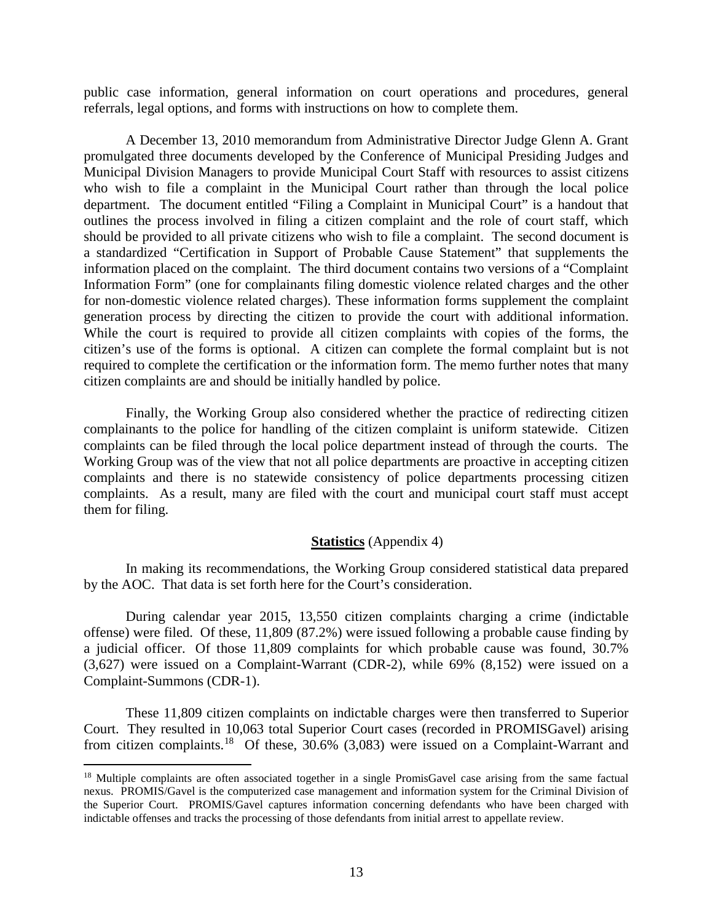public case information, general information on court operations and procedures, general referrals, legal options, and forms with instructions on how to complete them.

A December 13, 2010 memorandum from Administrative Director Judge Glenn A. Grant promulgated three documents developed by the Conference of Municipal Presiding Judges and Municipal Division Managers to provide Municipal Court Staff with resources to assist citizens who wish to file a complaint in the Municipal Court rather than through the local police department. The document entitled "Filing a Complaint in Municipal Court" is a handout that outlines the process involved in filing a citizen complaint and the role of court staff, which should be provided to all private citizens who wish to file a complaint. The second document is a standardized "Certification in Support of Probable Cause Statement" that supplements the information placed on the complaint. The third document contains two versions of a "Complaint Information Form" (one for complainants filing domestic violence related charges and the other for non-domestic violence related charges). These information forms supplement the complaint generation process by directing the citizen to provide the court with additional information. While the court is required to provide all citizen complaints with copies of the forms, the citizen's use of the forms is optional. A citizen can complete the formal complaint but is not required to complete the certification or the information form. The memo further notes that many citizen complaints are and should be initially handled by police.

Finally, the Working Group also considered whether the practice of redirecting citizen complainants to the police for handling of the citizen complaint is uniform statewide. Citizen complaints can be filed through the local police department instead of through the courts. The Working Group was of the view that not all police departments are proactive in accepting citizen complaints and there is no statewide consistency of police departments processing citizen complaints. As a result, many are filed with the court and municipal court staff must accept them for filing.

#### **Statistics** (Appendix 4)

In making its recommendations, the Working Group considered statistical data prepared by the AOC. That data is set forth here for the Court's consideration.

During calendar year 2015, 13,550 citizen complaints charging a crime (indictable offense) were filed. Of these, 11,809 (87.2%) were issued following a probable cause finding by a judicial officer. Of those 11,809 complaints for which probable cause was found, 30.7% (3,627) were issued on a Complaint-Warrant (CDR-2), while 69% (8,152) were issued on a Complaint-Summons (CDR-1).

These 11,809 citizen complaints on indictable charges were then transferred to Superior Court. They resulted in 10,063 total Superior Court cases (recorded in PROMISGavel) arising from citizen complaints.[18](#page-12-0) Of these, 30.6% (3,083) were issued on a Complaint-Warrant and

<span id="page-12-0"></span><sup>&</sup>lt;sup>18</sup> Multiple complaints are often associated together in a single PromisGavel case arising from the same factual nexus. PROMIS/Gavel is the computerized case management and information system for the Criminal Division of the Superior Court. PROMIS/Gavel captures information concerning defendants who have been charged with indictable offenses and tracks the processing of those defendants from initial arrest to appellate review.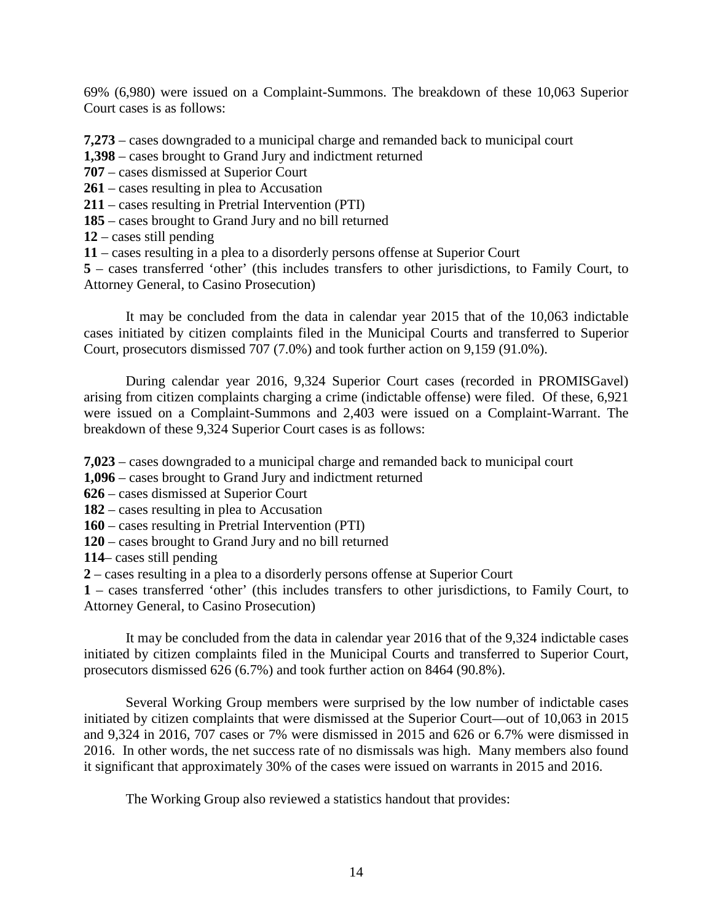69% (6,980) were issued on a Complaint-Summons. The breakdown of these 10,063 Superior Court cases is as follows:

**7,273** – cases downgraded to a municipal charge and remanded back to municipal court

- **1,398** cases brought to Grand Jury and indictment returned
- **707** cases dismissed at Superior Court
- **261**  cases resulting in plea to Accusation
- **211** cases resulting in Pretrial Intervention (PTI)
- **185** cases brought to Grand Jury and no bill returned
- **12** cases still pending
- **11** cases resulting in a plea to a disorderly persons offense at Superior Court

**5** – cases transferred 'other' (this includes transfers to other jurisdictions, to Family Court, to Attorney General, to Casino Prosecution)

It may be concluded from the data in calendar year 2015 that of the 10,063 indictable cases initiated by citizen complaints filed in the Municipal Courts and transferred to Superior Court, prosecutors dismissed 707 (7.0%) and took further action on 9,159 (91.0%).

During calendar year 2016, 9,324 Superior Court cases (recorded in PROMISGavel) arising from citizen complaints charging a crime (indictable offense) were filed. Of these, 6,921 were issued on a Complaint-Summons and 2,403 were issued on a Complaint-Warrant. The breakdown of these 9,324 Superior Court cases is as follows:

**7,023** – cases downgraded to a municipal charge and remanded back to municipal court

- **1,096** cases brought to Grand Jury and indictment returned
- **626** cases dismissed at Superior Court
- **182**  cases resulting in plea to Accusation
- **160** cases resulting in Pretrial Intervention (PTI)
- **120** cases brought to Grand Jury and no bill returned
- **114** cases still pending
- **2** cases resulting in a plea to a disorderly persons offense at Superior Court

**1** – cases transferred 'other' (this includes transfers to other jurisdictions, to Family Court, to Attorney General, to Casino Prosecution)

It may be concluded from the data in calendar year 2016 that of the 9,324 indictable cases initiated by citizen complaints filed in the Municipal Courts and transferred to Superior Court, prosecutors dismissed 626 (6.7%) and took further action on 8464 (90.8%).

Several Working Group members were surprised by the low number of indictable cases initiated by citizen complaints that were dismissed at the Superior Court—out of 10,063 in 2015 and 9,324 in 2016, 707 cases or 7% were dismissed in 2015 and 626 or 6.7% were dismissed in 2016. In other words, the net success rate of no dismissals was high. Many members also found it significant that approximately 30% of the cases were issued on warrants in 2015 and 2016.

The Working Group also reviewed a statistics handout that provides: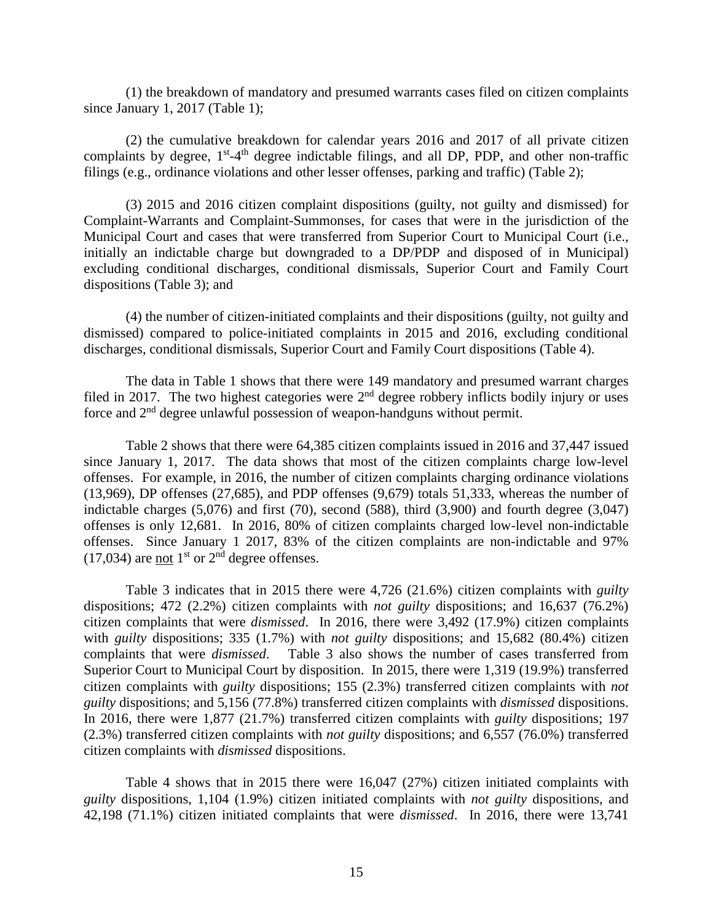(1) the breakdown of mandatory and presumed warrants cases filed on citizen complaints since January 1, 2017 (Table 1);

(2) the cumulative breakdown for calendar years 2016 and 2017 of all private citizen complaints by degree, 1<sup>st</sup>-4<sup>th</sup> degree indictable filings, and all DP, PDP, and other non-traffic filings (e.g., ordinance violations and other lesser offenses, parking and traffic) (Table 2);

(3) 2015 and 2016 citizen complaint dispositions (guilty, not guilty and dismissed) for Complaint-Warrants and Complaint-Summonses, for cases that were in the jurisdiction of the Municipal Court and cases that were transferred from Superior Court to Municipal Court (i.e., initially an indictable charge but downgraded to a DP/PDP and disposed of in Municipal) excluding conditional discharges, conditional dismissals, Superior Court and Family Court dispositions (Table 3); and

(4) the number of citizen-initiated complaints and their dispositions (guilty, not guilty and dismissed) compared to police-initiated complaints in 2015 and 2016, excluding conditional discharges, conditional dismissals, Superior Court and Family Court dispositions (Table 4).

The data in Table 1 shows that there were 149 mandatory and presumed warrant charges filed in 2017. The two highest categories were  $2<sup>nd</sup>$  degree robbery inflicts bodily injury or uses force and 2nd degree unlawful possession of weapon-handguns without permit.

Table 2 shows that there were 64,385 citizen complaints issued in 2016 and 37,447 issued since January 1, 2017. The data shows that most of the citizen complaints charge low-level offenses. For example, in 2016, the number of citizen complaints charging ordinance violations (13,969), DP offenses (27,685), and PDP offenses (9,679) totals 51,333, whereas the number of indictable charges  $(5,076)$  and first  $(70)$ , second  $(588)$ , third  $(3,900)$  and fourth degree  $(3,047)$ offenses is only 12,681. In 2016, 80% of citizen complaints charged low-level non-indictable offenses. Since January 1 2017, 83% of the citizen complaints are non-indictable and 97%  $(17,034)$  are not 1<sup>st</sup> or 2<sup>nd</sup> degree offenses.

Table 3 indicates that in 2015 there were 4,726 (21.6%) citizen complaints with *guilty* dispositions; 472 (2.2%) citizen complaints with *not guilty* dispositions; and 16,637 (76.2%) citizen complaints that were *dismissed*. In 2016, there were 3,492 (17.9%) citizen complaints with *guilty* dispositions; 335 (1.7%) with *not guilty* dispositions; and 15,682 (80.4%) citizen complaints that were *dismissed*. Table 3 also shows the number of cases transferred from Superior Court to Municipal Court by disposition. In 2015, there were 1,319 (19.9%) transferred citizen complaints with *guilty* dispositions; 155 (2.3%) transferred citizen complaints with *not guilty* dispositions; and 5,156 (77.8%) transferred citizen complaints with *dismissed* dispositions. In 2016, there were 1,877 (21.7%) transferred citizen complaints with *guilty* dispositions; 197 (2.3%) transferred citizen complaints with *not guilty* dispositions; and 6,557 (76.0%) transferred citizen complaints with *dismissed* dispositions.

Table 4 shows that in 2015 there were 16,047 (27%) citizen initiated complaints with *guilty* dispositions, 1,104 (1.9%) citizen initiated complaints with *not guilty* dispositions, and 42,198 (71.1%) citizen initiated complaints that were *dismissed*.In 2016, there were 13,741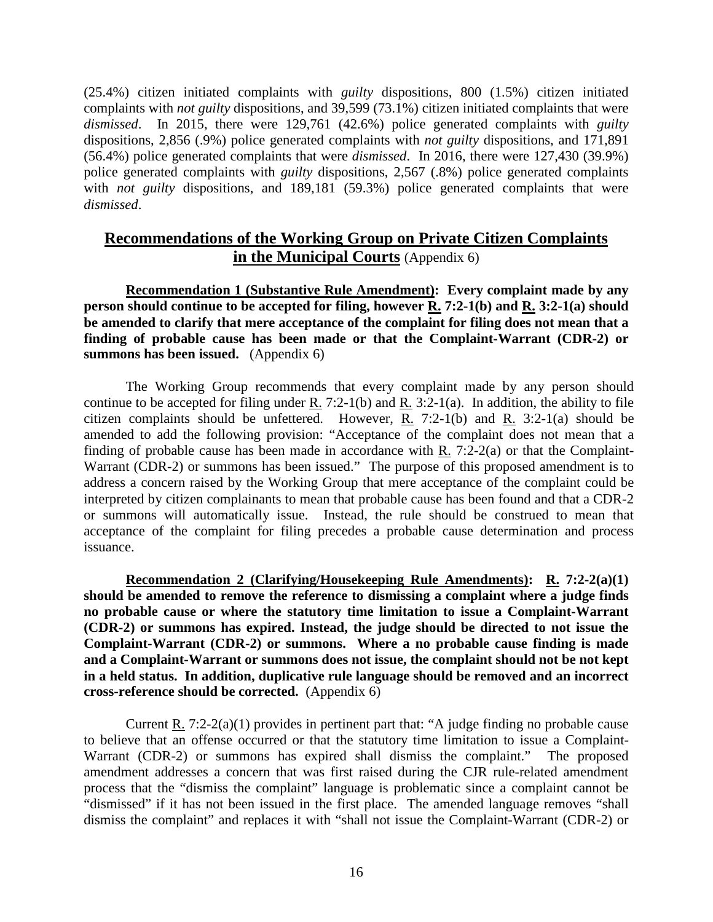(25.4%) citizen initiated complaints with *guilty* dispositions, 800 (1.5%) citizen initiated complaints with *not guilty* dispositions, and 39,599 (73.1%) citizen initiated complaints that were *dismissed*.In 2015, there were 129,761 (42.6%) police generated complaints with *guilty*  dispositions, 2,856 (.9%) police generated complaints with *not guilty* dispositions, and 171,891 (56.4%) police generated complaints that were *dismissed*. In 2016, there were 127,430 (39.9%) police generated complaints with *guilty* dispositions, 2,567 (.8%) police generated complaints with *not guilty* dispositions, and 189,181 (59.3%) police generated complaints that were *dismissed*.

## **Recommendations of the Working Group on Private Citizen Complaints in the Municipal Courts** (Appendix 6)

**Recommendation 1 (Substantive Rule Amendment): Every complaint made by any person should continue to be accepted for filing, however R. 7:2-1(b) and R. 3:2-1(a) should be amended to clarify that mere acceptance of the complaint for filing does not mean that a finding of probable cause has been made or that the Complaint-Warrant (CDR-2) or summons has been issued.** (Appendix 6)

The Working Group recommends that every complaint made by any person should continue to be accepted for filing under R. 7:2-1(b) and R. 3:2-1(a). In addition, the ability to file citizen complaints should be unfettered. However, R. 7:2-1(b) and R. 3:2-1(a) should be amended to add the following provision: "Acceptance of the complaint does not mean that a finding of probable cause has been made in accordance with R. 7:2-2(a) or that the Complaint-Warrant (CDR-2) or summons has been issued." The purpose of this proposed amendment is to address a concern raised by the Working Group that mere acceptance of the complaint could be interpreted by citizen complainants to mean that probable cause has been found and that a CDR-2 or summons will automatically issue. Instead, the rule should be construed to mean that acceptance of the complaint for filing precedes a probable cause determination and process issuance.

**Recommendation 2 (Clarifying/Housekeeping Rule Amendments): R. 7:2-2(a)(1) should be amended to remove the reference to dismissing a complaint where a judge finds no probable cause or where the statutory time limitation to issue a Complaint-Warrant (CDR-2) or summons has expired. Instead, the judge should be directed to not issue the Complaint-Warrant (CDR-2) or summons. Where a no probable cause finding is made and a Complaint-Warrant or summons does not issue, the complaint should not be not kept in a held status. In addition, duplicative rule language should be removed and an incorrect cross-reference should be corrected.** (Appendix 6)

Current R. 7:2-2(a)(1) provides in pertinent part that: "A judge finding no probable cause to believe that an offense occurred or that the statutory time limitation to issue a Complaint-Warrant (CDR-2) or summons has expired shall dismiss the complaint." The proposed amendment addresses a concern that was first raised during the CJR rule-related amendment process that the "dismiss the complaint" language is problematic since a complaint cannot be "dismissed" if it has not been issued in the first place. The amended language removes "shall dismiss the complaint" and replaces it with "shall not issue the Complaint-Warrant (CDR-2) or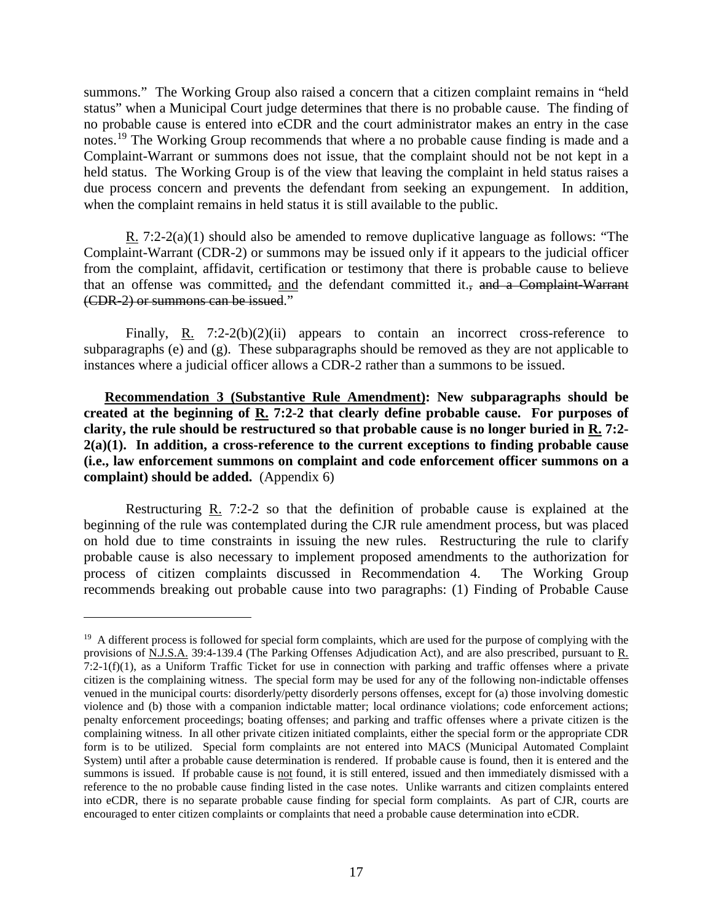summons." The Working Group also raised a concern that a citizen complaint remains in "held status" when a Municipal Court judge determines that there is no probable cause. The finding of no probable cause is entered into eCDR and the court administrator makes an entry in the case notes.<sup>[19](#page-16-0)</sup> The Working Group recommends that where a no probable cause finding is made and a Complaint-Warrant or summons does not issue, that the complaint should not be not kept in a held status. The Working Group is of the view that leaving the complaint in held status raises a due process concern and prevents the defendant from seeking an expungement. In addition, when the complaint remains in held status it is still available to the public.

R. 7:2-2(a)(1) should also be amended to remove duplicative language as follows: "The Complaint-Warrant (CDR-2) or summons may be issued only if it appears to the judicial officer from the complaint, affidavit, certification or testimony that there is probable cause to believe that an offense was committed, and the defendant committed it., and a Complaint-Warrant (CDR-2) or summons can be issued."

Finally, R. 7:2-2(b)(2)(ii) appears to contain an incorrect cross-reference to subparagraphs (e) and (g). These subparagraphs should be removed as they are not applicable to instances where a judicial officer allows a CDR-2 rather than a summons to be issued.

**Recommendation 3 (Substantive Rule Amendment): New subparagraphs should be created at the beginning of R. 7:2-2 that clearly define probable cause. For purposes of clarity, the rule should be restructured so that probable cause is no longer buried in R. 7:2- 2(a)(1). In addition, a cross-reference to the current exceptions to finding probable cause (i.e., law enforcement summons on complaint and code enforcement officer summons on a complaint) should be added.** (Appendix 6)

Restructuring R. 7:2-2 so that the definition of probable cause is explained at the beginning of the rule was contemplated during the CJR rule amendment process, but was placed on hold due to time constraints in issuing the new rules. Restructuring the rule to clarify probable cause is also necessary to implement proposed amendments to the authorization for process of citizen complaints discussed in Recommendation 4. The Working Group recommends breaking out probable cause into two paragraphs: (1) Finding of Probable Cause

<span id="page-16-0"></span> $19$  A different process is followed for special form complaints, which are used for the purpose of complying with the provisions of <u>N.J.S.A.</u> 39:4-139.4 (The Parking Offenses Adjudication Act), and are also prescribed, pursuant to <u>R.</u>  $7:2-1(f)(1)$ , as a Uniform Traffic Ticket for use in connection with parking and traffic offenses where a private citizen is the complaining witness. The special form may be used for any of the following non-indictable offenses venued in the municipal courts: disorderly/petty disorderly persons offenses, except for (a) those involving domestic violence and (b) those with a companion indictable matter; local ordinance violations; code enforcement actions; penalty enforcement proceedings; boating offenses; and parking and traffic offenses where a private citizen is the complaining witness. In all other private citizen initiated complaints, either the special form or the appropriate CDR form is to be utilized. Special form complaints are not entered into MACS (Municipal Automated Complaint System) until after a probable cause determination is rendered. If probable cause is found, then it is entered and the summons is issued. If probable cause is not found, it is still entered, issued and then immediately dismissed with a reference to the no probable cause finding listed in the case notes. Unlike warrants and citizen complaints entered into eCDR, there is no separate probable cause finding for special form complaints. As part of CJR, courts are encouraged to enter citizen complaints or complaints that need a probable cause determination into eCDR.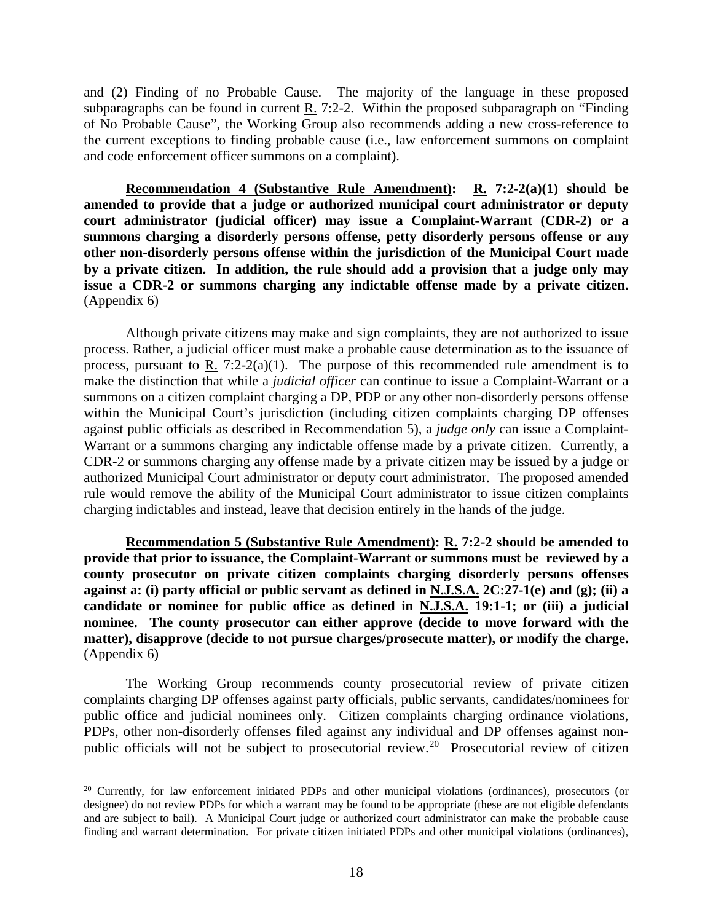and (2) Finding of no Probable Cause. The majority of the language in these proposed subparagraphs can be found in current  $R_1$ . 7:2-2. Within the proposed subparagraph on "Finding" of No Probable Cause", the Working Group also recommends adding a new cross-reference to the current exceptions to finding probable cause (i.e., law enforcement summons on complaint and code enforcement officer summons on a complaint).

**Recommendation 4 (Substantive Rule Amendment): R. 7:2-2(a)(1) should be amended to provide that a judge or authorized municipal court administrator or deputy court administrator (judicial officer) may issue a Complaint-Warrant (CDR-2) or a summons charging a disorderly persons offense, petty disorderly persons offense or any other non-disorderly persons offense within the jurisdiction of the Municipal Court made by a private citizen. In addition, the rule should add a provision that a judge only may issue a CDR-2 or summons charging any indictable offense made by a private citizen.**  (Appendix 6)

Although private citizens may make and sign complaints, they are not authorized to issue process. Rather, a judicial officer must make a probable cause determination as to the issuance of process, pursuant to R. 7:2-2(a)(1). The purpose of this recommended rule amendment is to make the distinction that while a *judicial officer* can continue to issue a Complaint-Warrant or a summons on a citizen complaint charging a DP, PDP or any other non-disorderly persons offense within the Municipal Court's jurisdiction (including citizen complaints charging DP offenses against public officials as described in Recommendation 5), a *judge only* can issue a Complaint-Warrant or a summons charging any indictable offense made by a private citizen. Currently, a CDR-2 or summons charging any offense made by a private citizen may be issued by a judge or authorized Municipal Court administrator or deputy court administrator. The proposed amended rule would remove the ability of the Municipal Court administrator to issue citizen complaints charging indictables and instead, leave that decision entirely in the hands of the judge.

**Recommendation 5 (Substantive Rule Amendment): R. 7:2-2 should be amended to provide that prior to issuance, the Complaint-Warrant or summons must be reviewed by a county prosecutor on private citizen complaints charging disorderly persons offenses against a: (i) party official or public servant as defined in N.J.S.A. 2C:27-1(e) and (g); (ii) a candidate or nominee for public office as defined in N.J.S.A. 19:1-1; or (iii) a judicial nominee. The county prosecutor can either approve (decide to move forward with the matter), disapprove (decide to not pursue charges/prosecute matter), or modify the charge.**  (Appendix 6)

The Working Group recommends county prosecutorial review of private citizen complaints charging DP offenses against party officials, public servants, candidates/nominees for public office and judicial nominees only. Citizen complaints charging ordinance violations, PDPs, other non-disorderly offenses filed against any individual and DP offenses against non-public officials will not be subject to prosecutorial review.<sup>[20](#page-17-0)</sup> Prosecutorial review of citizen

<span id="page-17-0"></span><sup>&</sup>lt;sup>20</sup> Currently, for law enforcement initiated PDPs and other municipal violations (ordinances), prosecutors (or designee) do not review PDPs for which a warrant may be found to be appropriate (these are not eligible defendants and are subject to bail). A Municipal Court judge or authorized court administrator can make the probable cause finding and warrant determination. For private citizen initiated PDPs and other municipal violations (ordinances),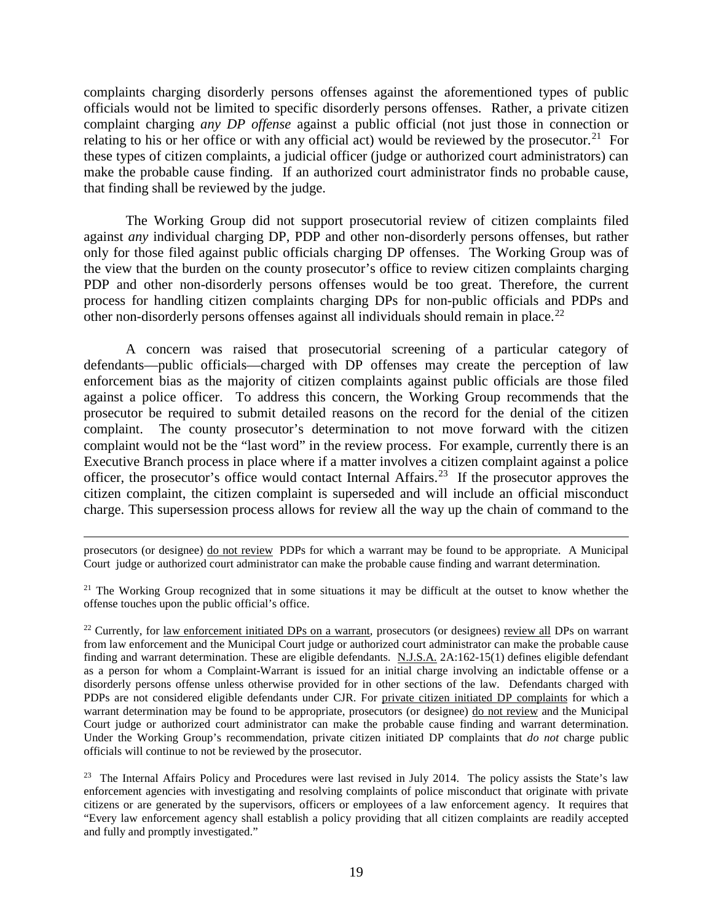complaints charging disorderly persons offenses against the aforementioned types of public officials would not be limited to specific disorderly persons offenses. Rather, a private citizen complaint charging *any DP offense* against a public official (not just those in connection or relating to his or her office or with any official act) would be reviewed by the prosecutor.<sup>21</sup> For these types of citizen complaints, a judicial officer (judge or authorized court administrators) can make the probable cause finding. If an authorized court administrator finds no probable cause, that finding shall be reviewed by the judge.

The Working Group did not support prosecutorial review of citizen complaints filed against *any* individual charging DP, PDP and other non-disorderly persons offenses, but rather only for those filed against public officials charging DP offenses. The Working Group was of the view that the burden on the county prosecutor's office to review citizen complaints charging PDP and other non-disorderly persons offenses would be too great. Therefore, the current process for handling citizen complaints charging DPs for non-public officials and PDPs and other non-disorderly persons offenses against all individuals should remain in place.<sup>22</sup>

A concern was raised that prosecutorial screening of a particular category of defendants—public officials—charged with DP offenses may create the perception of law enforcement bias as the majority of citizen complaints against public officials are those filed against a police officer. To address this concern, the Working Group recommends that the prosecutor be required to submit detailed reasons on the record for the denial of the citizen complaint. The county prosecutor's determination to not move forward with the citizen complaint would not be the "last word" in the review process. For example, currently there is an Executive Branch process in place where if a matter involves a citizen complaint against a police officer, the prosecutor's office would contact Internal Affairs.<sup>23</sup> If the prosecutor approves the citizen complaint, the citizen complaint is superseded and will include an official misconduct charge. This supersession process allows for review all the way up the chain of command to the

prosecutors (or designee) do not review PDPs for which a warrant may be found to be appropriate.A Municipal Court judge or authorized court administrator can make the probable cause finding and warrant determination.

<span id="page-18-0"></span><sup>&</sup>lt;sup>21</sup> The Working Group recognized that in some situations it may be difficult at the outset to know whether the offense touches upon the public official's office.

<span id="page-18-1"></span><sup>&</sup>lt;sup>22</sup> Currently, for <u>law enforcement initiated DPs on a warrant</u>, prosecutors (or designees) review all DPs on warrant from law enforcement and the Municipal Court judge or authorized court administrator can make the probable cause finding and warrant determination. These are eligible defendants. N.J.S.A. 2A:162-15(1) defines eligible defendant as a person for whom a Complaint-Warrant is issued for an initial charge involving an indictable offense or a disorderly persons offense unless otherwise provided for in other sections of the law. Defendants charged with PDPs are not considered eligible defendants under CJR. For private citizen initiated DP complaints for which a warrant determination may be found to be appropriate, prosecutors (or designee) do not review and the Municipal Court judge or authorized court administrator can make the probable cause finding and warrant determination. Under the Working Group's recommendation, private citizen initiated DP complaints that *do not* charge public officials will continue to not be reviewed by the prosecutor.

<span id="page-18-2"></span><sup>&</sup>lt;sup>23</sup> The Internal Affairs Policy and Procedures were last revised in July 2014. The policy assists the State's law enforcement agencies with investigating and resolving complaints of police misconduct that originate with private citizens or are generated by the supervisors, officers or employees of a law enforcement agency. It requires that "Every law enforcement agency shall establish a policy providing that all citizen complaints are readily accepted and fully and promptly investigated."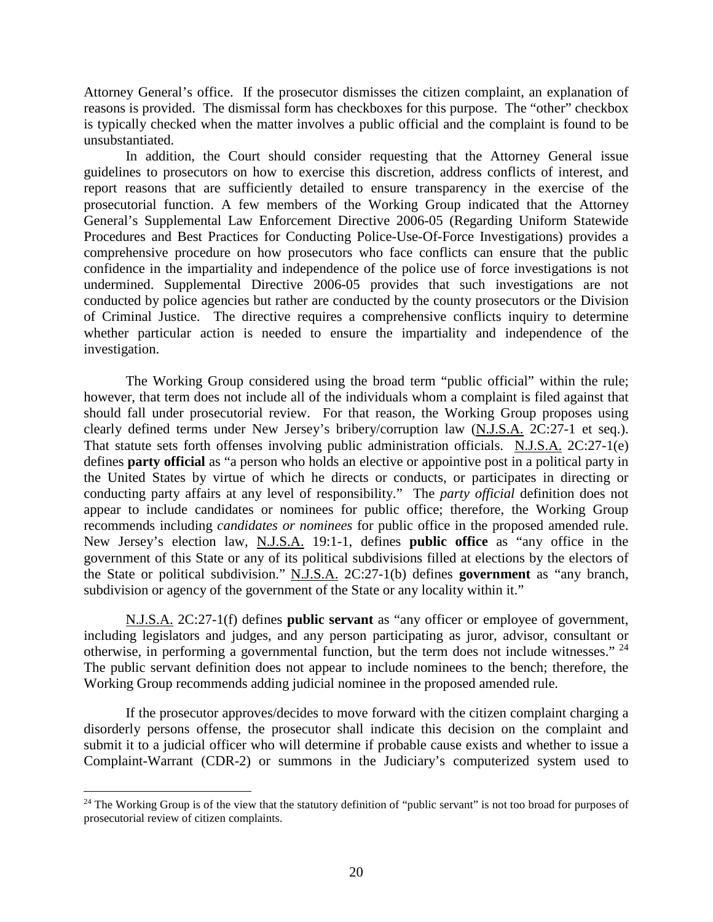Attorney General's office. If the prosecutor dismisses the citizen complaint, an explanation of reasons is provided. The dismissal form has checkboxes for this purpose. The "other" checkbox is typically checked when the matter involves a public official and the complaint is found to be unsubstantiated.

In addition, the Court should consider requesting that the Attorney General issue guidelines to prosecutors on how to exercise this discretion, address conflicts of interest, and report reasons that are sufficiently detailed to ensure transparency in the exercise of the prosecutorial function. A few members of the Working Group indicated that the Attorney General's Supplemental Law Enforcement Directive 2006-05 (Regarding Uniform Statewide Procedures and Best Practices for Conducting Police-Use-Of-Force Investigations) provides a comprehensive procedure on how prosecutors who face conflicts can ensure that the public confidence in the impartiality and independence of the police use of force investigations is not undermined. Supplemental Directive 2006-05 provides that such investigations are not conducted by police agencies but rather are conducted by the county prosecutors or the Division of Criminal Justice. The directive requires a comprehensive conflicts inquiry to determine whether particular action is needed to ensure the impartiality and independence of the investigation.

The Working Group considered using the broad term "public official" within the rule; however, that term does not include all of the individuals whom a complaint is filed against that should fall under prosecutorial review. For that reason, the Working Group proposes using clearly defined terms under New Jersey's bribery/corruption law (N.J.S.A. 2C:27-1 et seq.). That statute sets forth offenses involving public administration officials. N.J.S.A. 2C:27-1(e) defines **party official** as "a person who holds an elective or appointive post in a political party in the United States by virtue of which he directs or conducts, or participates in directing or conducting party affairs at any level of responsibility." The *party official* definition does not appear to include candidates or nominees for public office; therefore, the Working Group recommends including *candidates or nominees* for public office in the proposed amended rule. New Jersey's election law, N.J.S.A. 19:1-1, defines **public office** as "any office in the government of this State or any of its political subdivisions filled at elections by the electors of the State or political subdivision." N.J.S.A. 2C:27-1(b) defines **government** as "any branch, subdivision or agency of the government of the State or any locality within it."

N.J.S.A. 2C:27-1(f) defines **public servant** as "any officer or employee of government, including legislators and judges, and any person participating as juror, advisor, consultant or otherwise, in performing a governmental function, but the term does not include witnesses." [24](#page-19-0) The public servant definition does not appear to include nominees to the bench; therefore, the Working Group recommends adding judicial nominee in the proposed amended rule.

If the prosecutor approves/decides to move forward with the citizen complaint charging a disorderly persons offense, the prosecutor shall indicate this decision on the complaint and submit it to a judicial officer who will determine if probable cause exists and whether to issue a Complaint-Warrant (CDR-2) or summons in the Judiciary's computerized system used to

<span id="page-19-0"></span> $\overline{a}$  $24$  The Working Group is of the view that the statutory definition of "public servant" is not too broad for purposes of prosecutorial review of citizen complaints.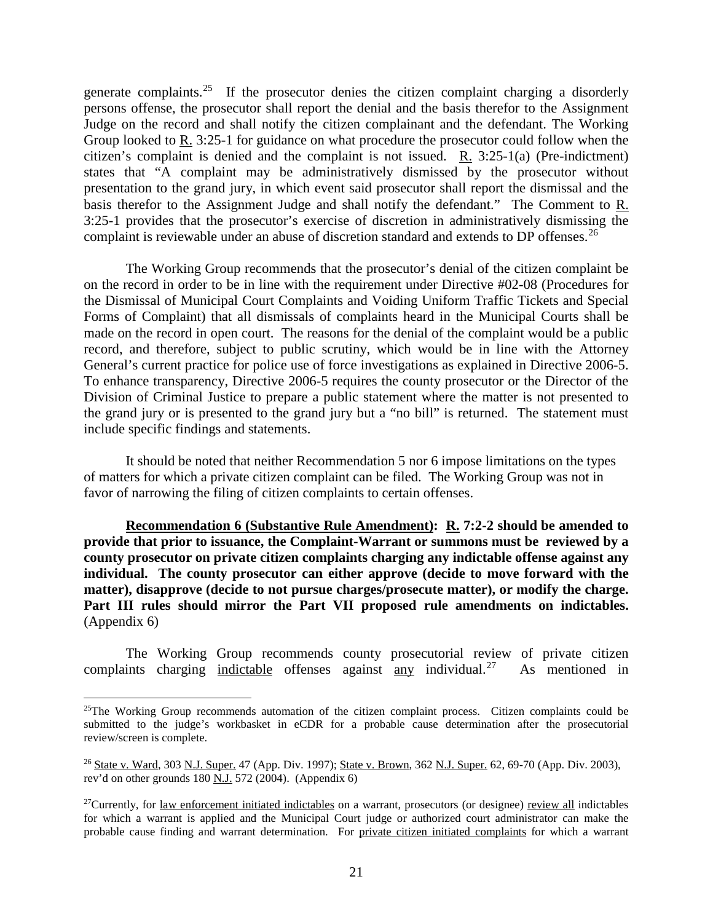generate complaints.<sup>25</sup> If the prosecutor denies the citizen complaint charging a disorderly persons offense, the prosecutor shall report the denial and the basis therefor to the Assignment Judge on the record and shall notify the citizen complainant and the defendant. The Working Group looked to R. 3:25-1 for guidance on what procedure the prosecutor could follow when the citizen's complaint is denied and the complaint is not issued. R. 3:25-1(a) (Pre-indictment) states that "A complaint may be administratively dismissed by the prosecutor without presentation to the grand jury, in which event said prosecutor shall report the dismissal and the basis therefor to the Assignment Judge and shall notify the defendant." The Comment to R. 3:25-1 provides that the prosecutor's exercise of discretion in administratively dismissing the complaint is reviewable under an abuse of discretion standard and extends to DP offenses.<sup>26</sup>

The Working Group recommends that the prosecutor's denial of the citizen complaint be on the record in order to be in line with the requirement under Directive #02-08 (Procedures for the Dismissal of Municipal Court Complaints and Voiding Uniform Traffic Tickets and Special Forms of Complaint) that all dismissals of complaints heard in the Municipal Courts shall be made on the record in open court. The reasons for the denial of the complaint would be a public record, and therefore, subject to public scrutiny, which would be in line with the Attorney General's current practice for police use of force investigations as explained in Directive 2006-5. To enhance transparency, Directive 2006-5 requires the county prosecutor or the Director of the Division of Criminal Justice to prepare a public statement where the matter is not presented to the grand jury or is presented to the grand jury but a "no bill" is returned. The statement must include specific findings and statements.

It should be noted that neither Recommendation 5 nor 6 impose limitations on the types of matters for which a private citizen complaint can be filed. The Working Group was not in favor of narrowing the filing of citizen complaints to certain offenses.

**Recommendation 6 (Substantive Rule Amendment): R. 7:2-2 should be amended to provide that prior to issuance, the Complaint-Warrant or summons must be reviewed by a county prosecutor on private citizen complaints charging any indictable offense against any individual. The county prosecutor can either approve (decide to move forward with the matter), disapprove (decide to not pursue charges/prosecute matter), or modify the charge. Part III rules should mirror the Part VII proposed rule amendments on indictables.**  (Appendix 6)

The Working Group recommends county prosecutorial review of private citizen complaints charging indictable offenses against any individual.<sup>[27](#page-20-2)</sup> As mentioned in

<span id="page-20-0"></span><sup>&</sup>lt;sup>25</sup>The Working Group recommends automation of the citizen complaint process. Citizen complaints could be submitted to the judge's workbasket in eCDR for a probable cause determination after the prosecutorial review/screen is complete.

<span id="page-20-1"></span><sup>26</sup> State v. Ward, 303 N.J. Super. 47 (App. Div. 1997); State v. Brown, 362 N.J. Super. 62, 69-70 (App. Div. 2003), rev'd on other grounds 180 N.J. 572 (2004). (Appendix 6)

<span id="page-20-2"></span> $27$ Currently, for law enforcement initiated indictables on a warrant, prosecutors (or designee) review all indictables for which a warrant is applied and the Municipal Court judge or authorized court administrator can make the probable cause finding and warrant determination. For private citizen initiated complaints for which a warrant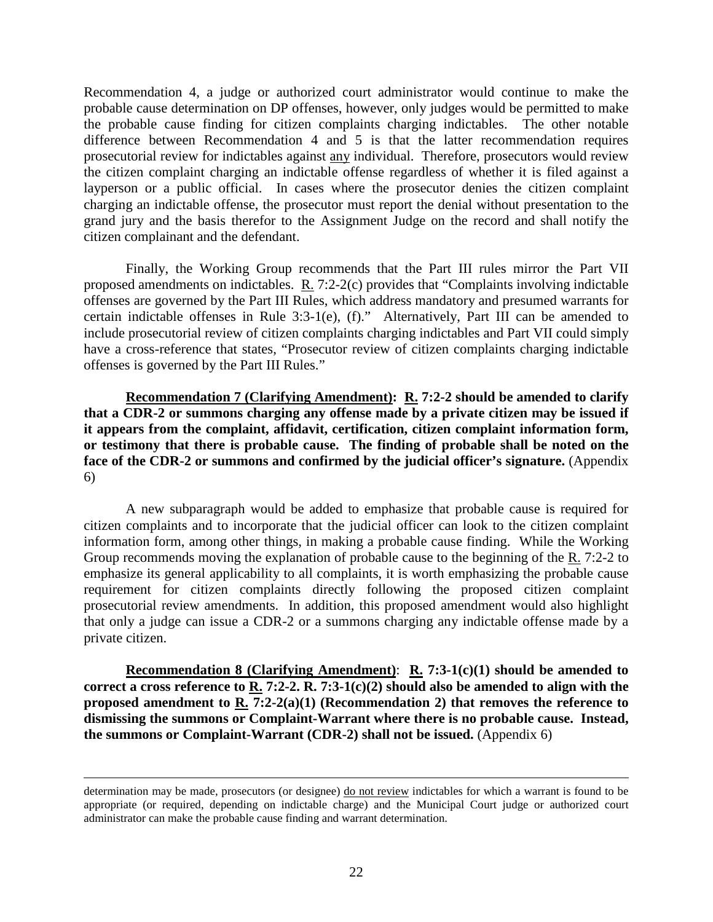Recommendation 4, a judge or authorized court administrator would continue to make the probable cause determination on DP offenses, however, only judges would be permitted to make the probable cause finding for citizen complaints charging indictables. The other notable difference between Recommendation 4 and 5 is that the latter recommendation requires prosecutorial review for indictables against any individual. Therefore, prosecutors would review the citizen complaint charging an indictable offense regardless of whether it is filed against a layperson or a public official. In cases where the prosecutor denies the citizen complaint charging an indictable offense, the prosecutor must report the denial without presentation to the grand jury and the basis therefor to the Assignment Judge on the record and shall notify the citizen complainant and the defendant.

Finally, the Working Group recommends that the Part III rules mirror the Part VII proposed amendments on indictables. R. 7:2-2(c) provides that "Complaints involving indictable offenses are governed by the Part III Rules, which address mandatory and presumed warrants for certain indictable offenses in Rule 3:3-1(e), (f)." Alternatively, Part III can be amended to include prosecutorial review of citizen complaints charging indictables and Part VII could simply have a cross-reference that states, "Prosecutor review of citizen complaints charging indictable offenses is governed by the Part III Rules."

**Recommendation 7 (Clarifying Amendment): R. 7:2-2 should be amended to clarify that a CDR-2 or summons charging any offense made by a private citizen may be issued if it appears from the complaint, affidavit, certification, citizen complaint information form, or testimony that there is probable cause. The finding of probable shall be noted on the**  face of the CDR-2 or summons and confirmed by the judicial officer's signature. (Appendix 6)

A new subparagraph would be added to emphasize that probable cause is required for citizen complaints and to incorporate that the judicial officer can look to the citizen complaint information form, among other things, in making a probable cause finding. While the Working Group recommends moving the explanation of probable cause to the beginning of the R. 7:2-2 to emphasize its general applicability to all complaints, it is worth emphasizing the probable cause requirement for citizen complaints directly following the proposed citizen complaint prosecutorial review amendments. In addition, this proposed amendment would also highlight that only a judge can issue a CDR-2 or a summons charging any indictable offense made by a private citizen.

**Recommendation 8 (Clarifying Amendment)**: **R. 7:3-1(c)(1) should be amended to correct a cross reference to R. 7:2-2. R. 7:3-1(c)(2) should also be amended to align with the proposed amendment to R. 7:2-2(a)(1) (Recommendation 2) that removes the reference to dismissing the summons or Complaint-Warrant where there is no probable cause. Instead, the summons or Complaint-Warrant (CDR-2) shall not be issued.** (Appendix 6)

determination may be made, prosecutors (or designee) do not review indictables for which a warrant is found to be appropriate (or required, depending on indictable charge) and the Municipal Court judge or authorized court administrator can make the probable cause finding and warrant determination.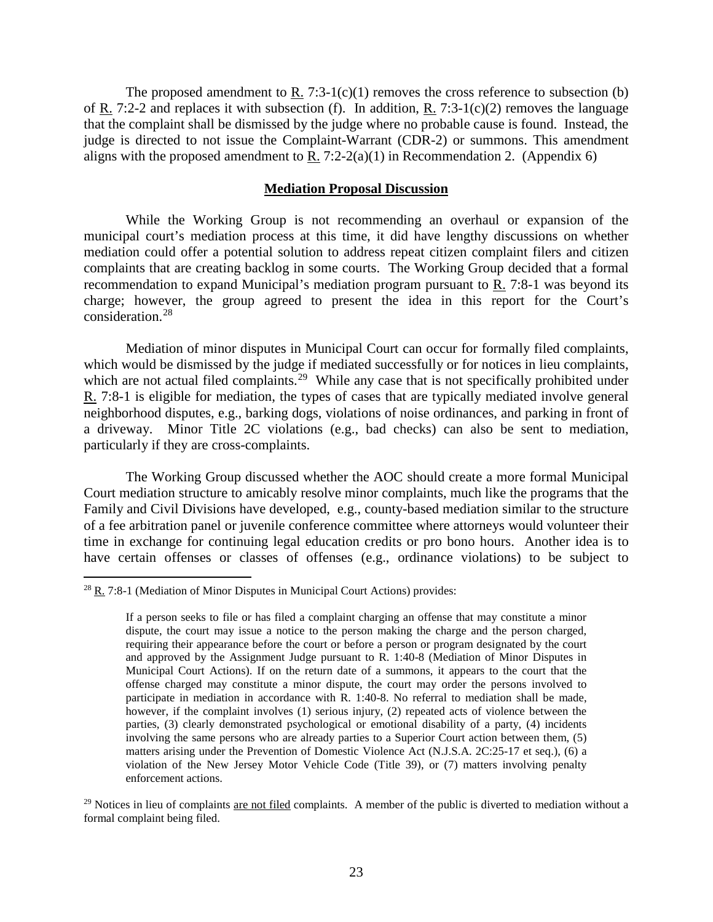The proposed amendment to  $\underline{R}$ . 7:3-1(c)(1) removes the cross reference to subsection (b) of R. 7:2-2 and replaces it with subsection (f). In addition, R. 7:3-1(c)(2) removes the language that the complaint shall be dismissed by the judge where no probable cause is found. Instead, the judge is directed to not issue the Complaint-Warrant (CDR-2) or summons. This amendment aligns with the proposed amendment to R. 7:2-2(a)(1) in Recommendation 2. (Appendix 6)

#### **Mediation Proposal Discussion**

While the Working Group is not recommending an overhaul or expansion of the municipal court's mediation process at this time, it did have lengthy discussions on whether mediation could offer a potential solution to address repeat citizen complaint filers and citizen complaints that are creating backlog in some courts. The Working Group decided that a formal recommendation to expand Municipal's mediation program pursuant to R. 7:8-1 was beyond its charge; however, the group agreed to present the idea in this report for the Court's consideration.[28](#page-22-0)

Mediation of minor disputes in Municipal Court can occur for formally filed complaints, which would be dismissed by the judge if mediated successfully or for notices in lieu complaints, which are not actual filed complaints.<sup>[29](#page-22-1)</sup> While any case that is not specifically prohibited under R. 7:8-1 is eligible for mediation, the types of cases that are typically mediated involve general neighborhood disputes, e.g., barking dogs, violations of noise ordinances, and parking in front of a driveway. Minor Title 2C violations (e.g., bad checks) can also be sent to mediation, particularly if they are cross-complaints.

The Working Group discussed whether the AOC should create a more formal Municipal Court mediation structure to amicably resolve minor complaints, much like the programs that the Family and Civil Divisions have developed, e.g., county-based mediation similar to the structure of a fee arbitration panel or juvenile conference committee where attorneys would volunteer their time in exchange for continuing legal education credits or pro bono hours. Another idea is to have certain offenses or classes of offenses (e.g., ordinance violations) to be subject to

<span id="page-22-0"></span> $28$  R. 7:8-1 (Mediation of Minor Disputes in Municipal Court Actions) provides:

If a person seeks to file or has filed a complaint charging an offense that may constitute a minor dispute, the court may issue a notice to the person making the charge and the person charged, requiring their appearance before the court or before a person or program designated by the court and approved by the Assignment Judge pursuant to R. 1:40-8 (Mediation of Minor Disputes in Municipal Court Actions). If on the return date of a summons, it appears to the court that the offense charged may constitute a minor dispute, the court may order the persons involved to participate in mediation in accordance with R. 1:40-8. No referral to mediation shall be made, however, if the complaint involves (1) serious injury, (2) repeated acts of violence between the parties, (3) clearly demonstrated psychological or emotional disability of a party, (4) incidents involving the same persons who are already parties to a Superior Court action between them, (5) matters arising under the Prevention of Domestic Violence Act (N.J.S.A. 2C:25-17 et seq.), (6) a violation of the New Jersey Motor Vehicle Code (Title 39), or (7) matters involving penalty enforcement actions.

<span id="page-22-1"></span> $29$  Notices in lieu of complaints are not filed complaints. A member of the public is diverted to mediation without a formal complaint being filed.